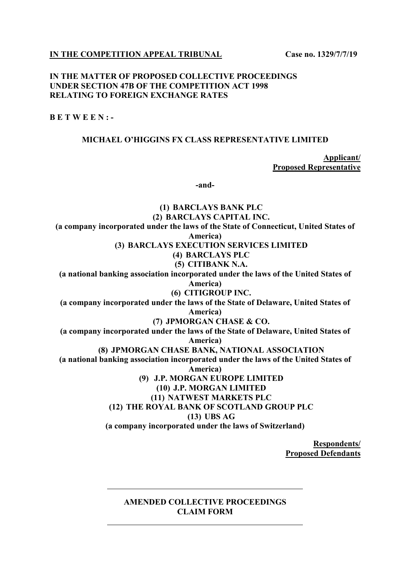**IN THE COMPETITION APPEAL TRIBUNAL Case no. 1329/7/7/19** 

## **IN THE MATTER OF PROPOSED COLLECTIVE PROCEEDINGS UNDER SECTION 47B OF THE COMPETITION ACT 1998 RELATING TO FOREIGN EXCHANGE RATES**

**B E T W E E N : -** 

## **MICHAEL O'HIGGINS FX CLASS REPRESENTATIVE LIMITED**

**Applicant/ Proposed Representative** 

**-and-** 

**(1) BARCLAYS BANK PLC (2) BARCLAYS CAPITAL INC. (a company incorporated under the laws of the State of Connecticut, United States of America) (3) BARCLAYS EXECUTION SERVICES LIMITED (4) BARCLAYS PLC (5) CITIBANK N.A. (a national banking association incorporated under the laws of the United States of America) (6) CITIGROUP INC. (a company incorporated under the laws of the State of Delaware, United States of America) (7) JPMORGAN CHASE & CO. (a company incorporated under the laws of the State of Delaware, United States of America) (8) JPMORGAN CHASE BANK, NATIONAL ASSOCIATION (a national banking association incorporated under the laws of the United States of America) (9) J.P. MORGAN EUROPE LIMITED (10) J.P. MORGAN LIMITED (11) NATWEST MARKETS PLC (12) THE ROYAL BANK OF SCOTLAND GROUP PLC (13) UBS AG (a company incorporated under the laws of Switzerland)** 

> **Respondents/ Proposed Defendants**

## **AMENDED COLLECTIVE PROCEEDINGS CLAIM FORM**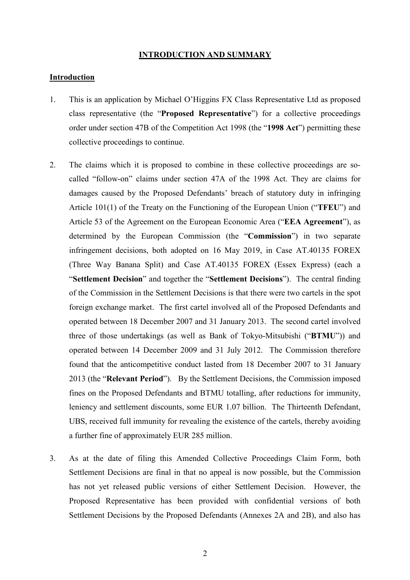#### **INTRODUCTION AND SUMMARY**

#### **Introduction**

- 1. This is an application by Michael O'Higgins FX Class Representative Ltd as proposed class representative (the "**Proposed Representative**") for a collective proceedings order under section 47B of the Competition Act 1998 (the "**1998 Act**") permitting these collective proceedings to continue.
- 2. The claims which it is proposed to combine in these collective proceedings are socalled "follow-on" claims under section 47A of the 1998 Act. They are claims for damages caused by the Proposed Defendants' breach of statutory duty in infringing Article 101(1) of the Treaty on the Functioning of the European Union ("**TFEU**") and Article 53 of the Agreement on the European Economic Area ("**EEA Agreement**"), as determined by the European Commission (the "**Commission**") in two separate infringement decisions, both adopted on 16 May 2019, in Case AT.40135 FOREX (Three Way Banana Split) and Case AT.40135 FOREX (Essex Express) (each a "**Settlement Decision**" and together the "**Settlement Decisions**"). The central finding of the Commission in the Settlement Decisions is that there were two cartels in the spot foreign exchange market. The first cartel involved all of the Proposed Defendants and operated between 18 December 2007 and 31 January 2013. The second cartel involved three of those undertakings (as well as Bank of Tokyo-Mitsubishi ("**BTMU**")) and operated between 14 December 2009 and 31 July 2012. The Commission therefore found that the anticompetitive conduct lasted from 18 December 2007 to 31 January 2013 (the "**Relevant Period**"). By the Settlement Decisions, the Commission imposed fines on the Proposed Defendants and BTMU totalling, after reductions for immunity, leniency and settlement discounts, some EUR 1.07 billion. The Thirteenth Defendant, UBS, received full immunity for revealing the existence of the cartels, thereby avoiding a further fine of approximately EUR 285 million.
- 3. As at the date of filing this Amended Collective Proceedings Claim Form, both Settlement Decisions are final in that no appeal is now possible, but the Commission has not yet released public versions of either Settlement Decision. However, the Proposed Representative has been provided with confidential versions of both Settlement Decisions by the Proposed Defendants (Annexes 2A and 2B), and also has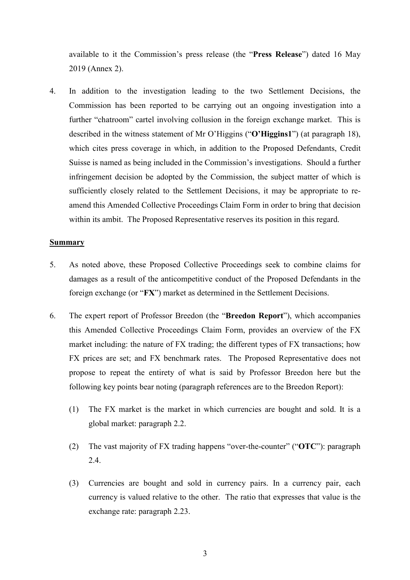available to it the Commission's press release (the "**Press Release**") dated 16 May 2019 (Annex 2).

4. In addition to the investigation leading to the two Settlement Decisions, the Commission has been reported to be carrying out an ongoing investigation into a further "chatroom" cartel involving collusion in the foreign exchange market. This is described in the witness statement of Mr O'Higgins ("**O'Higgins1**") (at paragraph 18), which cites press coverage in which, in addition to the Proposed Defendants, Credit Suisse is named as being included in the Commission's investigations. Should a further infringement decision be adopted by the Commission, the subject matter of which is sufficiently closely related to the Settlement Decisions, it may be appropriate to reamend this Amended Collective Proceedings Claim Form in order to bring that decision within its ambit. The Proposed Representative reserves its position in this regard.

#### **Summary**

- 5. As noted above, these Proposed Collective Proceedings seek to combine claims for damages as a result of the anticompetitive conduct of the Proposed Defendants in the foreign exchange (or "**FX**") market as determined in the Settlement Decisions.
- 6. The expert report of Professor Breedon (the "**Breedon Report**"), which accompanies this Amended Collective Proceedings Claim Form, provides an overview of the FX market including: the nature of FX trading; the different types of FX transactions; how FX prices are set; and FX benchmark rates. The Proposed Representative does not propose to repeat the entirety of what is said by Professor Breedon here but the following key points bear noting (paragraph references are to the Breedon Report):
	- (1) The FX market is the market in which currencies are bought and sold. It is a global market: paragraph 2.2.
	- (2) The vast majority of FX trading happens "over-the-counter" ("**OTC**"): paragraph 2.4.
	- (3) Currencies are bought and sold in currency pairs. In a currency pair, each currency is valued relative to the other. The ratio that expresses that value is the exchange rate: paragraph 2.23.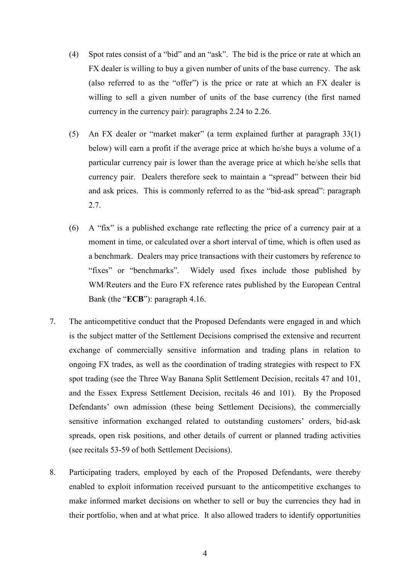- (4) Spot rates consist of a "bid" and an "ask". The bid is the price or rate at which an FX dealer is willing to buy a given number of units of the base currency. The ask (also referred to as the "offer") is the price or rate at which an FX dealer is willing to sell a given number of units of the base currency (the first named currency in the currency pair): paragraphs 2.24 to 2.26.
- (5) An FX dealer or "market maker" (a term explained further at paragraph 33(1) below) will earn a profit if the average price at which he/she buys a volume of a particular currency pair is lower than the average price at which he/she sells that currency pair. Dealers therefore seek to maintain a "spread" between their bid and ask prices. This is commonly referred to as the "bid-ask spread": paragraph 2.7.
- (6) A "fix" is a published exchange rate reflecting the price of a currency pair at a moment in time, or calculated over a short interval of time, which is often used as a benchmark. Dealers may price transactions with their customers by reference to "fixes" or "benchmarks". Widely used fixes include those published by WM/Reuters and the Euro FX reference rates published by the European Central Bank (the "**ECB**"): paragraph 4.16.
- 7. The anticompetitive conduct that the Proposed Defendants were engaged in and which is the subject matter of the Settlement Decisions comprised the extensive and recurrent exchange of commercially sensitive information and trading plans in relation to ongoing FX trades, as well as the coordination of trading strategies with respect to FX spot trading (see the Three Way Banana Split Settlement Decision, recitals 47 and 101, and the Essex Express Settlement Decision, recitals 46 and 101). By the Proposed Defendants' own admission (these being Settlement Decisions), the commercially sensitive information exchanged related to outstanding customers' orders, bid-ask spreads, open risk positions, and other details of current or planned trading activities (see recitals 53-59 of both Settlement Decisions).
- 8. Participating traders, employed by each of the Proposed Defendants, were thereby enabled to exploit information received pursuant to the anticompetitive exchanges to make informed market decisions on whether to sell or buy the currencies they had in their portfolio, when and at what price. It also allowed traders to identify opportunities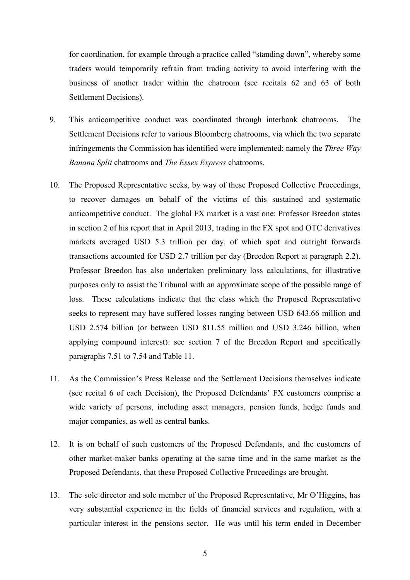for coordination, for example through a practice called "standing down", whereby some traders would temporarily refrain from trading activity to avoid interfering with the business of another trader within the chatroom (see recitals 62 and 63 of both Settlement Decisions).

- 9. This anticompetitive conduct was coordinated through interbank chatrooms. The Settlement Decisions refer to various Bloomberg chatrooms, via which the two separate infringements the Commission has identified were implemented: namely the *Three Way Banana Split* chatrooms and *The Essex Express* chatrooms.
- 10. The Proposed Representative seeks, by way of these Proposed Collective Proceedings, to recover damages on behalf of the victims of this sustained and systematic anticompetitive conduct. The global FX market is a vast one: Professor Breedon states in section 2 of his report that in April 2013, trading in the FX spot and OTC derivatives markets averaged USD 5.3 trillion per day, of which spot and outright forwards transactions accounted for USD 2.7 trillion per day (Breedon Report at paragraph 2.2). Professor Breedon has also undertaken preliminary loss calculations, for illustrative purposes only to assist the Tribunal with an approximate scope of the possible range of loss. These calculations indicate that the class which the Proposed Representative seeks to represent may have suffered losses ranging between USD 643.66 million and USD 2.574 billion (or between USD 811.55 million and USD 3.246 billion, when applying compound interest): see section 7 of the Breedon Report and specifically paragraphs 7.51 to 7.54 and Table 11.
- 11. As the Commission's Press Release and the Settlement Decisions themselves indicate (see recital 6 of each Decision), the Proposed Defendants' FX customers comprise a wide variety of persons, including asset managers, pension funds, hedge funds and major companies, as well as central banks.
- 12. It is on behalf of such customers of the Proposed Defendants, and the customers of other market-maker banks operating at the same time and in the same market as the Proposed Defendants, that these Proposed Collective Proceedings are brought.
- 13. The sole director and sole member of the Proposed Representative, Mr O'Higgins, has very substantial experience in the fields of financial services and regulation, with a particular interest in the pensions sector. He was until his term ended in December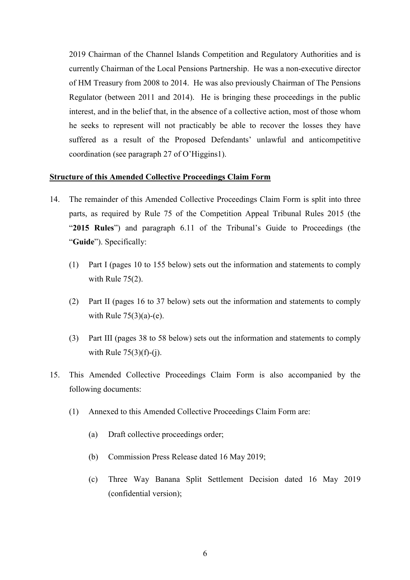2019 Chairman of the Channel Islands Competition and Regulatory Authorities and is currently Chairman of the Local Pensions Partnership. He was a non-executive director of HM Treasury from 2008 to 2014. He was also previously Chairman of The Pensions Regulator (between 2011 and 2014). He is bringing these proceedings in the public interest, and in the belief that, in the absence of a collective action, most of those whom he seeks to represent will not practicably be able to recover the losses they have suffered as a result of the Proposed Defendants' unlawful and anticompetitive coordination (see paragraph 27 of O'Higgins1).

#### **Structure of this Amended Collective Proceedings Claim Form**

- 14. The remainder of this Amended Collective Proceedings Claim Form is split into three parts, as required by Rule 75 of the Competition Appeal Tribunal Rules 2015 (the "**2015 Rules**") and paragraph 6.11 of the Tribunal's Guide to Proceedings (the "**Guide**"). Specifically:
	- (1) Part I (pages 10 to 155 below) sets out the information and statements to comply with Rule 75(2).
	- (2) Part II (pages 16 to 37 below) sets out the information and statements to comply with Rule  $75(3)(a)-(e)$ .
	- (3) Part III (pages 38 to 58 below) sets out the information and statements to comply with Rule  $75(3)(f)-(i)$ .
- 15. This Amended Collective Proceedings Claim Form is also accompanied by the following documents:
	- (1) Annexed to this Amended Collective Proceedings Claim Form are:
		- (a) Draft collective proceedings order;
		- (b) Commission Press Release dated 16 May 2019;
		- (c) Three Way Banana Split Settlement Decision dated 16 May 2019 (confidential version);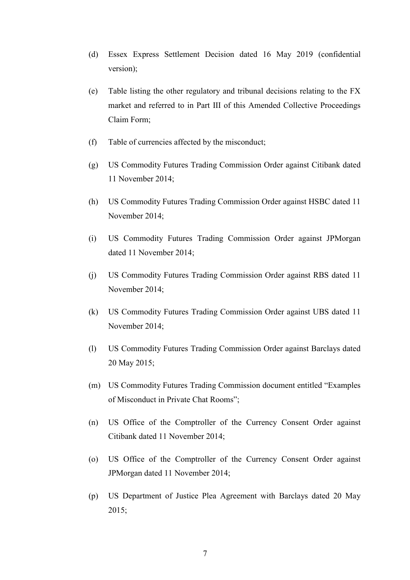- (d) Essex Express Settlement Decision dated 16 May 2019 (confidential version);
- (e) Table listing the other regulatory and tribunal decisions relating to the FX market and referred to in Part III of this Amended Collective Proceedings Claim Form;
- (f) Table of currencies affected by the misconduct;
- (g) US Commodity Futures Trading Commission Order against Citibank dated 11 November 2014;
- (h) US Commodity Futures Trading Commission Order against HSBC dated 11 November 2014;
- (i) US Commodity Futures Trading Commission Order against JPMorgan dated 11 November 2014;
- (j) US Commodity Futures Trading Commission Order against RBS dated 11 November 2014;
- (k) US Commodity Futures Trading Commission Order against UBS dated 11 November 2014;
- (l) US Commodity Futures Trading Commission Order against Barclays dated 20 May 2015;
- (m) US Commodity Futures Trading Commission document entitled "Examples of Misconduct in Private Chat Rooms";
- (n) US Office of the Comptroller of the Currency Consent Order against Citibank dated 11 November 2014;
- (o) US Office of the Comptroller of the Currency Consent Order against JPMorgan dated 11 November 2014;
- (p) US Department of Justice Plea Agreement with Barclays dated 20 May 2015;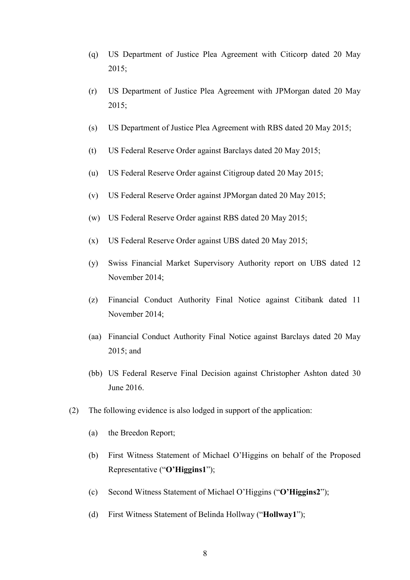- (q) US Department of Justice Plea Agreement with Citicorp dated 20 May 2015;
- (r) US Department of Justice Plea Agreement with JPMorgan dated 20 May 2015;
- (s) US Department of Justice Plea Agreement with RBS dated 20 May 2015;
- (t) US Federal Reserve Order against Barclays dated 20 May 2015;
- (u) US Federal Reserve Order against Citigroup dated 20 May 2015;
- (v) US Federal Reserve Order against JPMorgan dated 20 May 2015;
- (w) US Federal Reserve Order against RBS dated 20 May 2015;
- (x) US Federal Reserve Order against UBS dated 20 May 2015;
- (y) Swiss Financial Market Supervisory Authority report on UBS dated 12 November 2014;
- (z) Financial Conduct Authority Final Notice against Citibank dated 11 November 2014;
- (aa) Financial Conduct Authority Final Notice against Barclays dated 20 May 2015; and
- (bb) US Federal Reserve Final Decision against Christopher Ashton dated 30 June 2016.
- (2) The following evidence is also lodged in support of the application:
	- (a) the Breedon Report;
	- (b) First Witness Statement of Michael O'Higgins on behalf of the Proposed Representative ("**O'Higgins1**");
	- (c) Second Witness Statement of Michael O'Higgins ("**O'Higgins2**");
	- (d) First Witness Statement of Belinda Hollway ("**Hollway1**");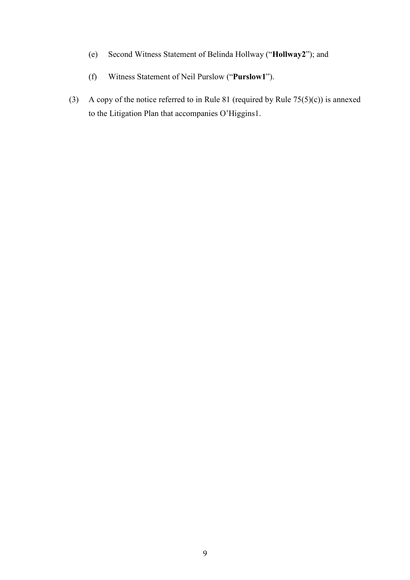- (e) Second Witness Statement of Belinda Hollway ("**Hollway2**"); and
- (f) Witness Statement of Neil Purslow ("**Purslow1**").
- (3) A copy of the notice referred to in Rule 81 (required by Rule  $75(5)(c)$ ) is annexed to the Litigation Plan that accompanies O'Higgins1.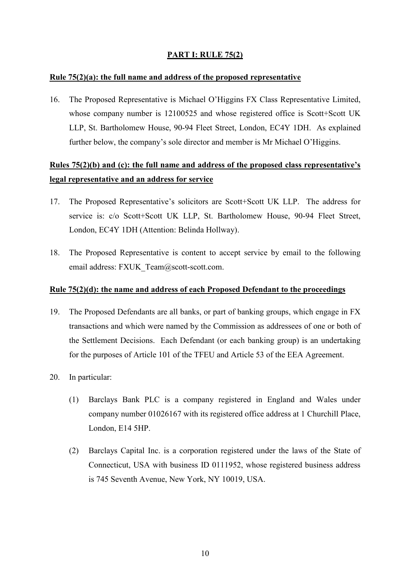## **PART I: RULE 75(2)**

## **Rule 75(2)(a): the full name and address of the proposed representative**

16. The Proposed Representative is Michael O'Higgins FX Class Representative Limited, whose company number is 12100525 and whose registered office is Scott+Scott UK LLP, St. Bartholomew House, 90-94 Fleet Street, London, EC4Y 1DH. As explained further below, the company's sole director and member is Mr Michael O'Higgins.

## **Rules 75(2)(b) and (c): the full name and address of the proposed class representative's legal representative and an address for service**

- 17. The Proposed Representative's solicitors are Scott+Scott UK LLP. The address for service is: c/o Scott+Scott UK LLP, St. Bartholomew House, 90-94 Fleet Street, London, EC4Y 1DH (Attention: Belinda Hollway).
- 18. The Proposed Representative is content to accept service by email to the following email address: FXUK\_Team@scott-scott.com.

### **Rule 75(2)(d): the name and address of each Proposed Defendant to the proceedings**

- 19. The Proposed Defendants are all banks, or part of banking groups, which engage in FX transactions and which were named by the Commission as addressees of one or both of the Settlement Decisions. Each Defendant (or each banking group) is an undertaking for the purposes of Article 101 of the TFEU and Article 53 of the EEA Agreement.
- 20. In particular:
	- (1) Barclays Bank PLC is a company registered in England and Wales under company number 01026167 with its registered office address at 1 Churchill Place, London, E14 5HP.
	- (2) Barclays Capital Inc. is a corporation registered under the laws of the State of Connecticut, USA with business ID 0111952, whose registered business address is 745 Seventh Avenue, New York, NY 10019, USA.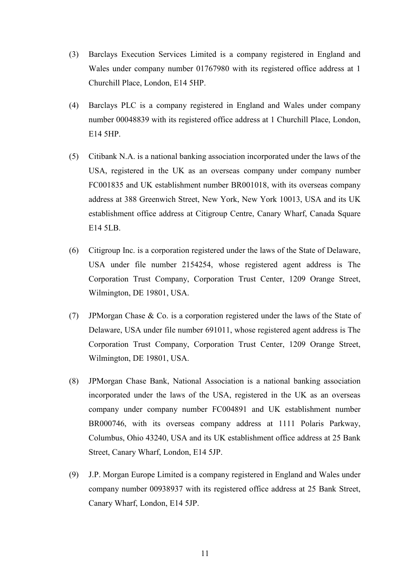- (3) Barclays Execution Services Limited is a company registered in England and Wales under company number 01767980 with its registered office address at 1 Churchill Place, London, E14 5HP.
- (4) Barclays PLC is a company registered in England and Wales under company number 00048839 with its registered office address at 1 Churchill Place, London, E14 5HP.
- (5) Citibank N.A. is a national banking association incorporated under the laws of the USA, registered in the UK as an overseas company under company number FC001835 and UK establishment number BR001018, with its overseas company address at 388 Greenwich Street, New York, New York 10013, USA and its UK establishment office address at Citigroup Centre, Canary Wharf, Canada Square E14 5LB.
- (6) Citigroup Inc. is a corporation registered under the laws of the State of Delaware, USA under file number 2154254, whose registered agent address is The Corporation Trust Company, Corporation Trust Center, 1209 Orange Street, Wilmington, DE 19801, USA.
- (7) JPMorgan Chase & Co. is a corporation registered under the laws of the State of Delaware, USA under file number 691011, whose registered agent address is The Corporation Trust Company, Corporation Trust Center, 1209 Orange Street, Wilmington, DE 19801, USA.
- (8) JPMorgan Chase Bank, National Association is a national banking association incorporated under the laws of the USA, registered in the UK as an overseas company under company number FC004891 and UK establishment number BR000746, with its overseas company address at 1111 Polaris Parkway, Columbus, Ohio 43240, USA and its UK establishment office address at 25 Bank Street, Canary Wharf, London, E14 5JP.
- (9) J.P. Morgan Europe Limited is a company registered in England and Wales under company number 00938937 with its registered office address at 25 Bank Street, Canary Wharf, London, E14 5JP.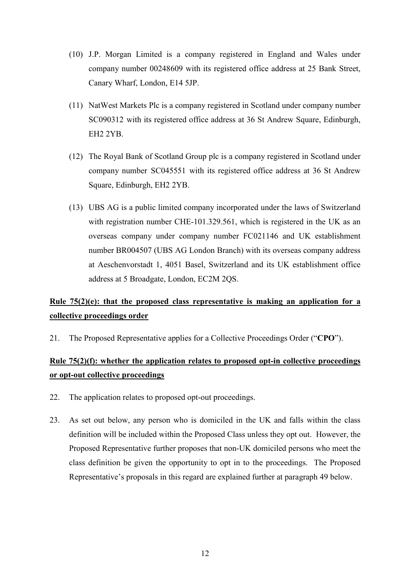- (10) J.P. Morgan Limited is a company registered in England and Wales under company number 00248609 with its registered office address at 25 Bank Street, Canary Wharf, London, E14 5JP.
- (11) NatWest Markets Plc is a company registered in Scotland under company number SC090312 with its registered office address at 36 St Andrew Square, Edinburgh, EH2 2YB.
- (12) The Royal Bank of Scotland Group plc is a company registered in Scotland under company number SC045551 with its registered office address at 36 St Andrew Square, Edinburgh, EH2 2YB.
- (13) UBS AG is a public limited company incorporated under the laws of Switzerland with registration number CHE-101.329.561, which is registered in the UK as an overseas company under company number FC021146 and UK establishment number BR004507 (UBS AG London Branch) with its overseas company address at Aeschenvorstadt 1, 4051 Basel, Switzerland and its UK establishment office address at 5 Broadgate, London, EC2M 2QS.

# **Rule 75(2)(e): that the proposed class representative is making an application for a collective proceedings order**

21. The Proposed Representative applies for a Collective Proceedings Order ("**CPO**").

## **Rule 75(2)(f): whether the application relates to proposed opt-in collective proceedings or opt-out collective proceedings**

- 22. The application relates to proposed opt-out proceedings.
- 23. As set out below, any person who is domiciled in the UK and falls within the class definition will be included within the Proposed Class unless they opt out. However, the Proposed Representative further proposes that non-UK domiciled persons who meet the class definition be given the opportunity to opt in to the proceedings. The Proposed Representative's proposals in this regard are explained further at paragraph 49 below.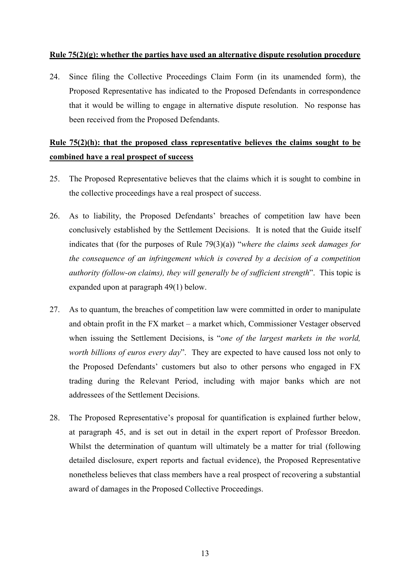#### **Rule 75(2)(g): whether the parties have used an alternative dispute resolution procedure**

24. Since filing the Collective Proceedings Claim Form (in its unamended form), the Proposed Representative has indicated to the Proposed Defendants in correspondence that it would be willing to engage in alternative dispute resolution. No response has been received from the Proposed Defendants.

## **Rule 75(2)(h): that the proposed class representative believes the claims sought to be combined have a real prospect of success**

- 25. The Proposed Representative believes that the claims which it is sought to combine in the collective proceedings have a real prospect of success.
- 26. As to liability, the Proposed Defendants' breaches of competition law have been conclusively established by the Settlement Decisions. It is noted that the Guide itself indicates that (for the purposes of Rule 79(3)(a)) "*where the claims seek damages for the consequence of an infringement which is covered by a decision of a competition authority (follow-on claims), they will generally be of sufficient strength*". This topic is expanded upon at paragraph 49(1) below.
- 27. As to quantum, the breaches of competition law were committed in order to manipulate and obtain profit in the FX market – a market which, Commissioner Vestager observed when issuing the Settlement Decisions, is "*one of the largest markets in the world, worth billions of euros every day*". They are expected to have caused loss not only to the Proposed Defendants' customers but also to other persons who engaged in FX trading during the Relevant Period, including with major banks which are not addressees of the Settlement Decisions.
- 28. The Proposed Representative's proposal for quantification is explained further below, at paragraph 45, and is set out in detail in the expert report of Professor Breedon. Whilst the determination of quantum will ultimately be a matter for trial (following detailed disclosure, expert reports and factual evidence), the Proposed Representative nonetheless believes that class members have a real prospect of recovering a substantial award of damages in the Proposed Collective Proceedings.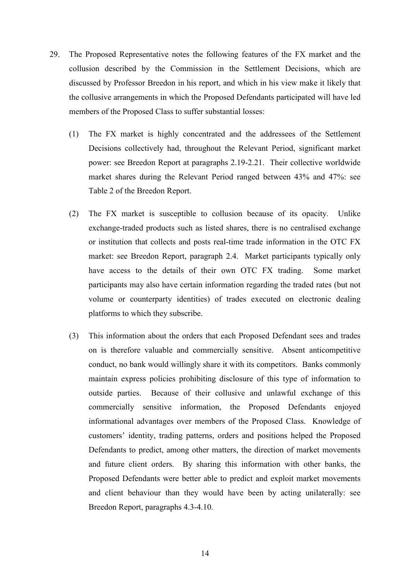- 29. The Proposed Representative notes the following features of the FX market and the collusion described by the Commission in the Settlement Decisions, which are discussed by Professor Breedon in his report, and which in his view make it likely that the collusive arrangements in which the Proposed Defendants participated will have led members of the Proposed Class to suffer substantial losses:
	- (1) The FX market is highly concentrated and the addressees of the Settlement Decisions collectively had, throughout the Relevant Period, significant market power: see Breedon Report at paragraphs 2.19-2.21. Their collective worldwide market shares during the Relevant Period ranged between 43% and 47%: see Table 2 of the Breedon Report.
	- (2) The FX market is susceptible to collusion because of its opacity. Unlike exchange-traded products such as listed shares, there is no centralised exchange or institution that collects and posts real-time trade information in the OTC FX market: see Breedon Report, paragraph 2.4. Market participants typically only have access to the details of their own OTC FX trading. Some market participants may also have certain information regarding the traded rates (but not volume or counterparty identities) of trades executed on electronic dealing platforms to which they subscribe.
	- (3) This information about the orders that each Proposed Defendant sees and trades on is therefore valuable and commercially sensitive. Absent anticompetitive conduct, no bank would willingly share it with its competitors. Banks commonly maintain express policies prohibiting disclosure of this type of information to outside parties. Because of their collusive and unlawful exchange of this commercially sensitive information, the Proposed Defendants enjoyed informational advantages over members of the Proposed Class. Knowledge of customers' identity, trading patterns, orders and positions helped the Proposed Defendants to predict, among other matters, the direction of market movements and future client orders. By sharing this information with other banks, the Proposed Defendants were better able to predict and exploit market movements and client behaviour than they would have been by acting unilaterally: see Breedon Report, paragraphs 4.3-4.10.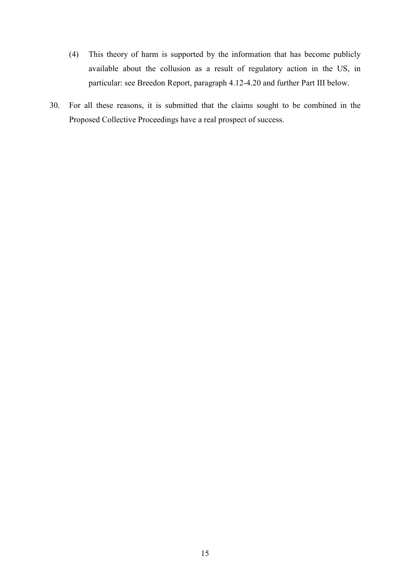- (4) This theory of harm is supported by the information that has become publicly available about the collusion as a result of regulatory action in the US, in particular: see Breedon Report, paragraph 4.12-4.20 and further Part III below.
- 30. For all these reasons, it is submitted that the claims sought to be combined in the Proposed Collective Proceedings have a real prospect of success.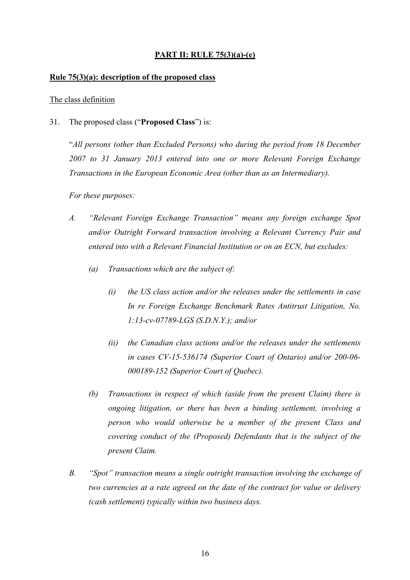## **PART II: RULE 75(3)(a)-(e)**

#### **Rule 75(3)(a): description of the proposed class**

#### The class definition

31. The proposed class ("**Proposed Class**") is:

"*All persons (other than Excluded Persons) who during the period from 18 December 2007 to 31 January 2013 entered into one or more Relevant Foreign Exchange Transactions in the European Economic Area (other than as an Intermediary).* 

*For these purposes:* 

- *A. "Relevant Foreign Exchange Transaction" means any foreign exchange Spot and/or Outright Forward transaction involving a Relevant Currency Pair and entered into with a Relevant Financial Institution or on an ECN, but excludes:* 
	- *(a) Transactions which are the subject of:* 
		- *(i) the US class action and/or the releases under the settlements in case In re Foreign Exchange Benchmark Rates Antitrust Litigation, No. 1:13-cv-07789-LGS (S.D.N.Y.); and/or*
		- *(ii) the Canadian class actions and/or the releases under the settlements in cases CV-15-536174 (Superior Court of Ontario) and/or 200-06- 000189-152 (Superior Court of Quebec).*
	- *(b) Transactions in respect of which (aside from the present Claim) there is ongoing litigation, or there has been a binding settlement, involving a person who would otherwise be a member of the present Class and covering conduct of the (Proposed) Defendants that is the subject of the present Claim.*
- *B. "Spot" transaction means a single outright transaction involving the exchange of two currencies at a rate agreed on the date of the contract for value or delivery (cash settlement) typically within two business days.*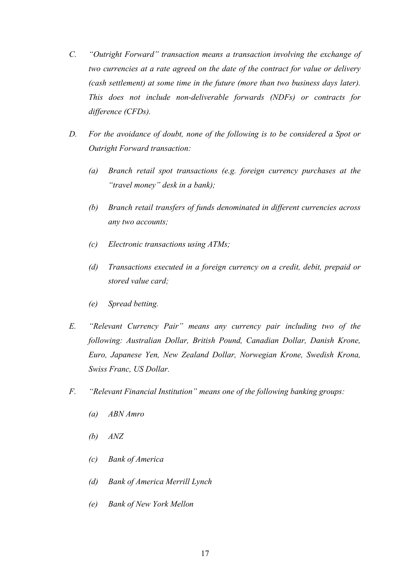- *C. "Outright Forward" transaction means a transaction involving the exchange of two currencies at a rate agreed on the date of the contract for value or delivery (cash settlement) at some time in the future (more than two business days later). This does not include non-deliverable forwards (NDFs) or contracts for difference (CFDs).*
- *D. For the avoidance of doubt, none of the following is to be considered a Spot or Outright Forward transaction:* 
	- *(a) Branch retail spot transactions (e.g. foreign currency purchases at the "travel money" desk in a bank);*
	- *(b) Branch retail transfers of funds denominated in different currencies across any two accounts;*
	- *(c) Electronic transactions using ATMs;*
	- *(d) Transactions executed in a foreign currency on a credit, debit, prepaid or stored value card;*
	- *(e) Spread betting.*
- *E. "Relevant Currency Pair" means any currency pair including two of the following: Australian Dollar, British Pound, Canadian Dollar, Danish Krone, Euro, Japanese Yen, New Zealand Dollar, Norwegian Krone, Swedish Krona, Swiss Franc, US Dollar.*
- *F. "Relevant Financial Institution" means one of the following banking groups:* 
	- *(a) ABN Amro*
	- *(b) ANZ*
	- *(c) Bank of America*
	- *(d) Bank of America Merrill Lynch*
	- *(e) Bank of New York Mellon*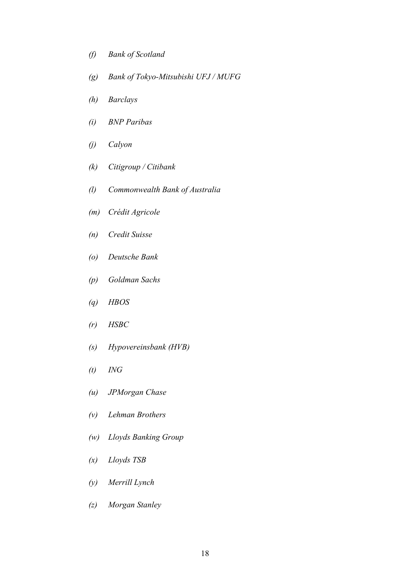- *(f) Bank of Scotland*
- *(g) Bank of Tokyo-Mitsubishi UFJ / MUFG*
- *(h) Barclays*
- *(i) BNP Paribas*
- *(j) Calyon*
- *(k) Citigroup / Citibank*
- *(l) Commonwealth Bank of Australia*
- *(m) Crédit Agricole*
- *(n) Credit Suisse*
- *(o) Deutsche Bank*
- *(p) Goldman Sachs*
- *(q) HBOS*
- *(r) HSBC*
- *(s) Hypovereinsbank (HVB)*
- *(t) ING*
- *(u) JPMorgan Chase*
- *(v) Lehman Brothers*
- *(w) Lloyds Banking Group*
- *(x) Lloyds TSB*
- *(y) Merrill Lynch*
- *(z) Morgan Stanley*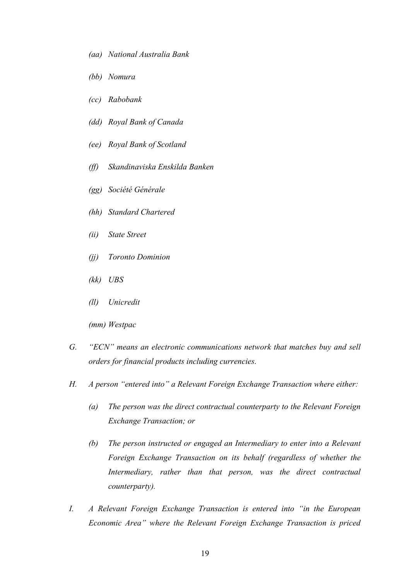- *(aa) National Australia Bank*
- *(bb) Nomura*
- *(cc) Rabobank*
- *(dd) Royal Bank of Canada*
- *(ee) Royal Bank of Scotland*
- *(ff) Skandinaviska Enskilda Banken*
- *(gg) Société Générale*
- *(hh) Standard Chartered*
- *(ii) State Street*
- *(jj) Toronto Dominion*
- *(kk) UBS*
- *(ll) Unicredit*

*(mm) Westpac* 

- *G. "ECN" means an electronic communications network that matches buy and sell orders for financial products including currencies.*
- *H. A person "entered into" a Relevant Foreign Exchange Transaction where either:* 
	- *(a) The person was the direct contractual counterparty to the Relevant Foreign Exchange Transaction; or*
	- *(b) The person instructed or engaged an Intermediary to enter into a Relevant Foreign Exchange Transaction on its behalf (regardless of whether the Intermediary, rather than that person, was the direct contractual counterparty).*
- *I. A Relevant Foreign Exchange Transaction is entered into "in the European Economic Area" where the Relevant Foreign Exchange Transaction is priced*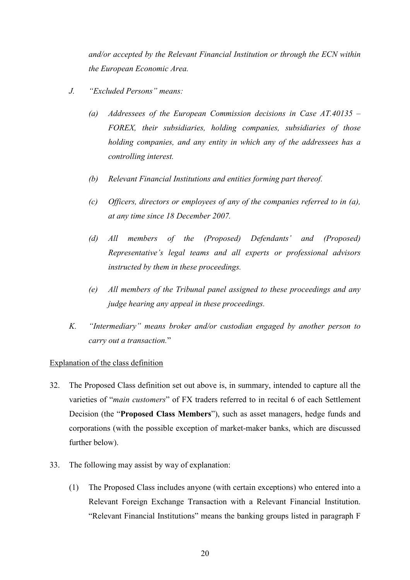*and/or accepted by the Relevant Financial Institution or through the ECN within the European Economic Area.* 

- *J. "Excluded Persons" means:* 
	- *(a) Addressees of the European Commission decisions in Case AT.40135 FOREX, their subsidiaries, holding companies, subsidiaries of those holding companies, and any entity in which any of the addressees has a controlling interest.*
	- *(b) Relevant Financial Institutions and entities forming part thereof.*
	- *(c) Officers, directors or employees of any of the companies referred to in (a), at any time since 18 December 2007.*
	- *(d) All members of the (Proposed) Defendants' and (Proposed) Representative's legal teams and all experts or professional advisors instructed by them in these proceedings.*
	- *(e) All members of the Tribunal panel assigned to these proceedings and any judge hearing any appeal in these proceedings.*
- *K. "Intermediary" means broker and/or custodian engaged by another person to carry out a transaction.*"

#### Explanation of the class definition

- 32. The Proposed Class definition set out above is, in summary, intended to capture all the varieties of "*main customers*" of FX traders referred to in recital 6 of each Settlement Decision (the "**Proposed Class Members**"), such as asset managers, hedge funds and corporations (with the possible exception of market-maker banks, which are discussed further below).
- 33. The following may assist by way of explanation:
	- (1) The Proposed Class includes anyone (with certain exceptions) who entered into a Relevant Foreign Exchange Transaction with a Relevant Financial Institution. "Relevant Financial Institutions" means the banking groups listed in paragraph F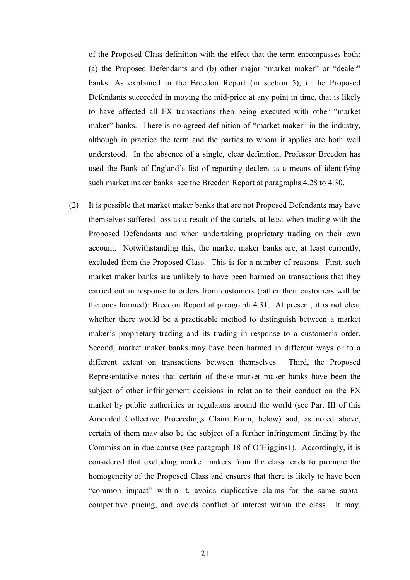of the Proposed Class definition with the effect that the term encompasses both: (a) the Proposed Defendants and (b) other major "market maker" or "dealer" banks. As explained in the Breedon Report (in section 5), if the Proposed Defendants succeeded in moving the mid-price at any point in time, that is likely to have affected all FX transactions then being executed with other "market maker" banks. There is no agreed definition of "market maker" in the industry, although in practice the term and the parties to whom it applies are both well understood. In the absence of a single, clear definition, Professor Breedon has used the Bank of England's list of reporting dealers as a means of identifying such market maker banks: see the Breedon Report at paragraphs 4.28 to 4.30.

(2) It is possible that market maker banks that are not Proposed Defendants may have themselves suffered loss as a result of the cartels, at least when trading with the Proposed Defendants and when undertaking proprietary trading on their own account. Notwithstanding this, the market maker banks are, at least currently, excluded from the Proposed Class. This is for a number of reasons. First, such market maker banks are unlikely to have been harmed on transactions that they carried out in response to orders from customers (rather their customers will be the ones harmed): Breedon Report at paragraph 4.31. At present, it is not clear whether there would be a practicable method to distinguish between a market maker's proprietary trading and its trading in response to a customer's order. Second, market maker banks may have been harmed in different ways or to a different extent on transactions between themselves. Third, the Proposed Representative notes that certain of these market maker banks have been the subject of other infringement decisions in relation to their conduct on the FX market by public authorities or regulators around the world (see Part III of this Amended Collective Proceedings Claim Form, below) and, as noted above, certain of them may also be the subject of a further infringement finding by the Commission in due course (see paragraph 18 of O'Higgins1). Accordingly, it is considered that excluding market makers from the class tends to promote the homogeneity of the Proposed Class and ensures that there is likely to have been "common impact" within it, avoids duplicative claims for the same supracompetitive pricing, and avoids conflict of interest within the class. It may,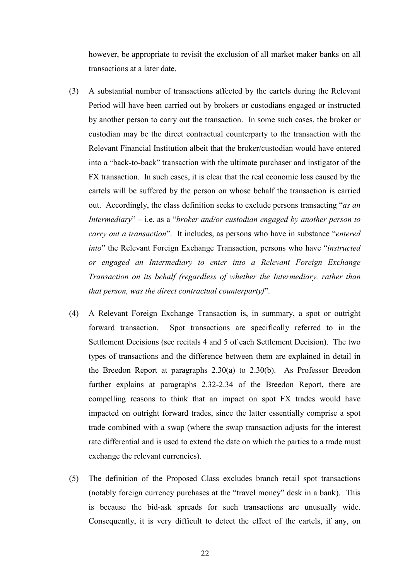however, be appropriate to revisit the exclusion of all market maker banks on all transactions at a later date.

- (3) A substantial number of transactions affected by the cartels during the Relevant Period will have been carried out by brokers or custodians engaged or instructed by another person to carry out the transaction. In some such cases, the broker or custodian may be the direct contractual counterparty to the transaction with the Relevant Financial Institution albeit that the broker/custodian would have entered into a "back-to-back" transaction with the ultimate purchaser and instigator of the FX transaction. In such cases, it is clear that the real economic loss caused by the cartels will be suffered by the person on whose behalf the transaction is carried out. Accordingly, the class definition seeks to exclude persons transacting "*as an Intermediary*" – i.e. as a "*broker and/or custodian engaged by another person to carry out a transaction*". It includes, as persons who have in substance "*entered into*" the Relevant Foreign Exchange Transaction, persons who have "*instructed or engaged an Intermediary to enter into a Relevant Foreign Exchange Transaction on its behalf (regardless of whether the Intermediary, rather than that person, was the direct contractual counterparty)*".
- (4) A Relevant Foreign Exchange Transaction is, in summary, a spot or outright forward transaction. Spot transactions are specifically referred to in the Settlement Decisions (see recitals 4 and 5 of each Settlement Decision). The two types of transactions and the difference between them are explained in detail in the Breedon Report at paragraphs 2.30(a) to 2.30(b). As Professor Breedon further explains at paragraphs 2.32-2.34 of the Breedon Report, there are compelling reasons to think that an impact on spot FX trades would have impacted on outright forward trades, since the latter essentially comprise a spot trade combined with a swap (where the swap transaction adjusts for the interest rate differential and is used to extend the date on which the parties to a trade must exchange the relevant currencies).
- (5) The definition of the Proposed Class excludes branch retail spot transactions (notably foreign currency purchases at the "travel money" desk in a bank). This is because the bid-ask spreads for such transactions are unusually wide. Consequently, it is very difficult to detect the effect of the cartels, if any, on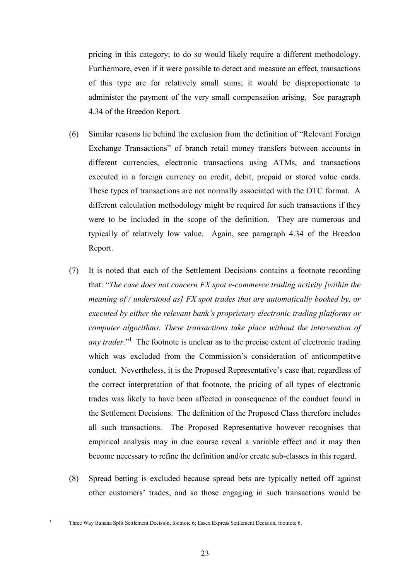pricing in this category; to do so would likely require a different methodology. Furthermore, even if it were possible to detect and measure an effect, transactions of this type are for relatively small sums; it would be disproportionate to administer the payment of the very small compensation arising. See paragraph 4.34 of the Breedon Report.

- (6) Similar reasons lie behind the exclusion from the definition of "Relevant Foreign Exchange Transactions" of branch retail money transfers between accounts in different currencies, electronic transactions using ATMs, and transactions executed in a foreign currency on credit, debit, prepaid or stored value cards. These types of transactions are not normally associated with the OTC format. A different calculation methodology might be required for such transactions if they were to be included in the scope of the definition. They are numerous and typically of relatively low value. Again, see paragraph 4.34 of the Breedon Report.
- (7) It is noted that each of the Settlement Decisions contains a footnote recording that: "*The case does not concern FX spot e-commerce trading activity [within the meaning of / understood as] FX spot trades that are automatically booked by, or executed by either the relevant bank's proprietary electronic trading platforms or computer algorithms. These transactions take place without the intervention of*  any trader."<sup>1</sup> The footnote is unclear as to the precise extent of electronic trading which was excluded from the Commission's consideration of anticompetitve conduct. Nevertheless, it is the Proposed Representative's case that, regardless of the correct interpretation of that footnote, the pricing of all types of electronic trades was likely to have been affected in consequence of the conduct found in the Settlement Decisions. The definition of the Proposed Class therefore includes all such transactions. The Proposed Representative however recognises that empirical analysis may in due course reveal a variable effect and it may then become necessary to refine the definition and/or create sub-classes in this regard.
- (8) Spread betting is excluded because spread bets are typically netted off against other customers' trades, and so those engaging in such transactions would be

 $\overline{a}$ 1

Three Way Banana Split Settlement Decision, footnote 6; Essex Express Settlement Decision, footnote 6.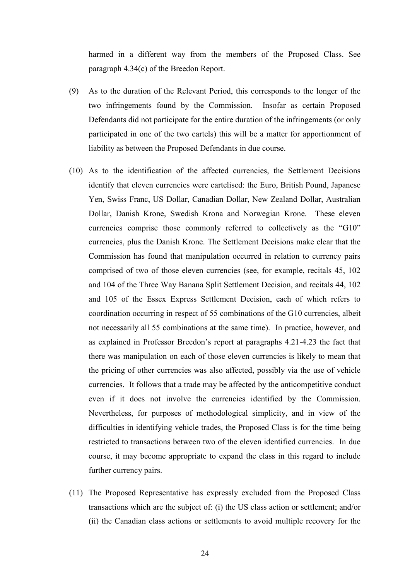harmed in a different way from the members of the Proposed Class. See paragraph 4.34(c) of the Breedon Report.

- (9) As to the duration of the Relevant Period, this corresponds to the longer of the two infringements found by the Commission. Insofar as certain Proposed Defendants did not participate for the entire duration of the infringements (or only participated in one of the two cartels) this will be a matter for apportionment of liability as between the Proposed Defendants in due course.
- (10) As to the identification of the affected currencies, the Settlement Decisions identify that eleven currencies were cartelised: the Euro, British Pound, Japanese Yen, Swiss Franc, US Dollar, Canadian Dollar, New Zealand Dollar, Australian Dollar, Danish Krone, Swedish Krona and Norwegian Krone. These eleven currencies comprise those commonly referred to collectively as the "G10" currencies, plus the Danish Krone. The Settlement Decisions make clear that the Commission has found that manipulation occurred in relation to currency pairs comprised of two of those eleven currencies (see, for example, recitals 45, 102 and 104 of the Three Way Banana Split Settlement Decision, and recitals 44, 102 and 105 of the Essex Express Settlement Decision, each of which refers to coordination occurring in respect of 55 combinations of the G10 currencies, albeit not necessarily all 55 combinations at the same time). In practice, however, and as explained in Professor Breedon's report at paragraphs 4.21-4.23 the fact that there was manipulation on each of those eleven currencies is likely to mean that the pricing of other currencies was also affected, possibly via the use of vehicle currencies. It follows that a trade may be affected by the anticompetitive conduct even if it does not involve the currencies identified by the Commission. Nevertheless, for purposes of methodological simplicity, and in view of the difficulties in identifying vehicle trades, the Proposed Class is for the time being restricted to transactions between two of the eleven identified currencies. In due course, it may become appropriate to expand the class in this regard to include further currency pairs.
- (11) The Proposed Representative has expressly excluded from the Proposed Class transactions which are the subject of: (i) the US class action or settlement; and/or (ii) the Canadian class actions or settlements to avoid multiple recovery for the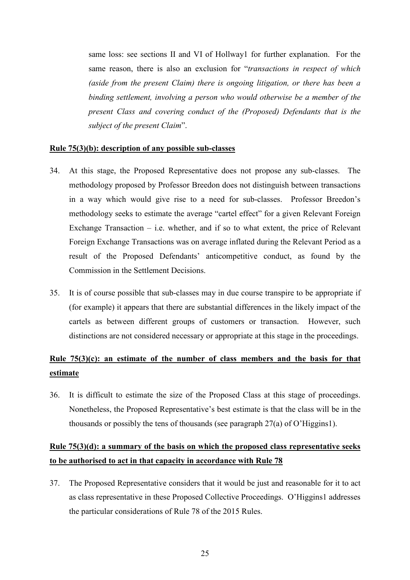same loss: see sections II and VI of Hollway1 for further explanation. For the same reason, there is also an exclusion for "*transactions in respect of which (aside from the present Claim) there is ongoing litigation, or there has been a binding settlement, involving a person who would otherwise be a member of the present Class and covering conduct of the (Proposed) Defendants that is the subject of the present Claim*".

#### **Rule 75(3)(b): description of any possible sub-classes**

- 34. At this stage, the Proposed Representative does not propose any sub-classes. The methodology proposed by Professor Breedon does not distinguish between transactions in a way which would give rise to a need for sub-classes. Professor Breedon's methodology seeks to estimate the average "cartel effect" for a given Relevant Foreign Exchange Transaction  $-$  i.e. whether, and if so to what extent, the price of Relevant Foreign Exchange Transactions was on average inflated during the Relevant Period as a result of the Proposed Defendants' anticompetitive conduct, as found by the Commission in the Settlement Decisions.
- 35. It is of course possible that sub-classes may in due course transpire to be appropriate if (for example) it appears that there are substantial differences in the likely impact of the cartels as between different groups of customers or transaction. However, such distinctions are not considered necessary or appropriate at this stage in the proceedings.

## **Rule 75(3)(c): an estimate of the number of class members and the basis for that estimate**

36. It is difficult to estimate the size of the Proposed Class at this stage of proceedings. Nonetheless, the Proposed Representative's best estimate is that the class will be in the thousands or possibly the tens of thousands (see paragraph 27(a) of O'Higgins1).

## **Rule 75(3)(d): a summary of the basis on which the proposed class representative seeks to be authorised to act in that capacity in accordance with Rule 78**

37. The Proposed Representative considers that it would be just and reasonable for it to act as class representative in these Proposed Collective Proceedings. O'Higgins1 addresses the particular considerations of Rule 78 of the 2015 Rules.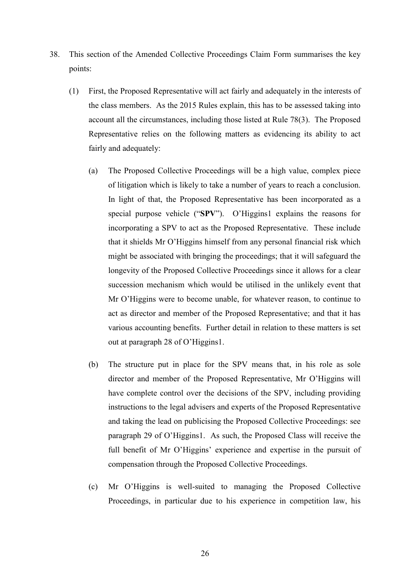- 38. This section of the Amended Collective Proceedings Claim Form summarises the key points:
	- (1) First, the Proposed Representative will act fairly and adequately in the interests of the class members. As the 2015 Rules explain, this has to be assessed taking into account all the circumstances, including those listed at Rule 78(3). The Proposed Representative relies on the following matters as evidencing its ability to act fairly and adequately:
		- (a) The Proposed Collective Proceedings will be a high value, complex piece of litigation which is likely to take a number of years to reach a conclusion. In light of that, the Proposed Representative has been incorporated as a special purpose vehicle ("**SPV**"). O'Higgins1 explains the reasons for incorporating a SPV to act as the Proposed Representative. These include that it shields Mr O'Higgins himself from any personal financial risk which might be associated with bringing the proceedings; that it will safeguard the longevity of the Proposed Collective Proceedings since it allows for a clear succession mechanism which would be utilised in the unlikely event that Mr O'Higgins were to become unable, for whatever reason, to continue to act as director and member of the Proposed Representative; and that it has various accounting benefits. Further detail in relation to these matters is set out at paragraph 28 of O'Higgins1.
		- (b) The structure put in place for the SPV means that, in his role as sole director and member of the Proposed Representative, Mr O'Higgins will have complete control over the decisions of the SPV, including providing instructions to the legal advisers and experts of the Proposed Representative and taking the lead on publicising the Proposed Collective Proceedings: see paragraph 29 of O'Higgins1. As such, the Proposed Class will receive the full benefit of Mr O'Higgins' experience and expertise in the pursuit of compensation through the Proposed Collective Proceedings.
		- (c) Mr O'Higgins is well-suited to managing the Proposed Collective Proceedings, in particular due to his experience in competition law, his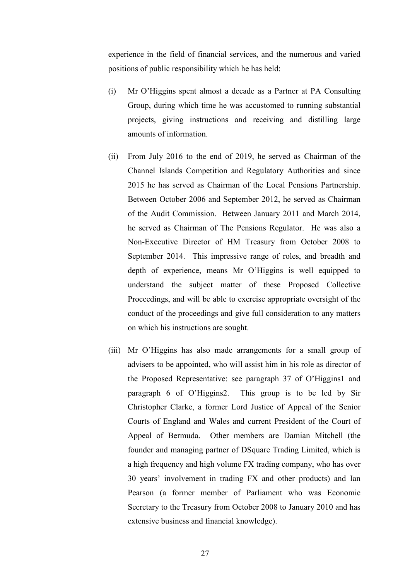experience in the field of financial services, and the numerous and varied positions of public responsibility which he has held:

- (i) Mr O'Higgins spent almost a decade as a Partner at PA Consulting Group, during which time he was accustomed to running substantial projects, giving instructions and receiving and distilling large amounts of information.
- (ii) From July 2016 to the end of 2019, he served as Chairman of the Channel Islands Competition and Regulatory Authorities and since 2015 he has served as Chairman of the Local Pensions Partnership. Between October 2006 and September 2012, he served as Chairman of the Audit Commission. Between January 2011 and March 2014, he served as Chairman of The Pensions Regulator. He was also a Non-Executive Director of HM Treasury from October 2008 to September 2014. This impressive range of roles, and breadth and depth of experience, means Mr O'Higgins is well equipped to understand the subject matter of these Proposed Collective Proceedings, and will be able to exercise appropriate oversight of the conduct of the proceedings and give full consideration to any matters on which his instructions are sought.
- (iii) Mr O'Higgins has also made arrangements for a small group of advisers to be appointed, who will assist him in his role as director of the Proposed Representative: see paragraph 37 of O'Higgins1 and paragraph 6 of O'Higgins2. This group is to be led by Sir Christopher Clarke, a former Lord Justice of Appeal of the Senior Courts of England and Wales and current President of the Court of Appeal of Bermuda. Other members are Damian Mitchell (the founder and managing partner of DSquare Trading Limited, which is a high frequency and high volume FX trading company, who has over 30 years' involvement in trading FX and other products) and Ian Pearson (a former member of Parliament who was Economic Secretary to the Treasury from October 2008 to January 2010 and has extensive business and financial knowledge).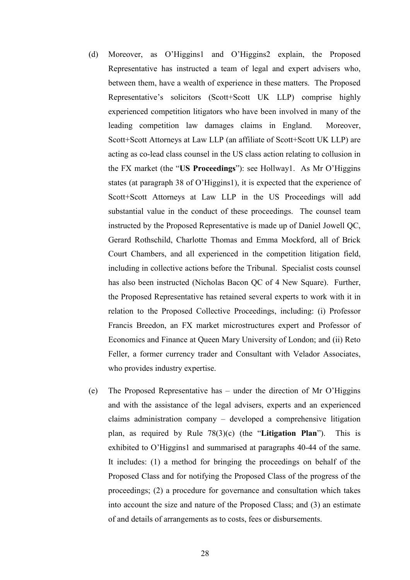- (d) Moreover, as O'Higgins1 and O'Higgins2 explain, the Proposed Representative has instructed a team of legal and expert advisers who, between them, have a wealth of experience in these matters. The Proposed Representative's solicitors (Scott+Scott UK LLP) comprise highly experienced competition litigators who have been involved in many of the leading competition law damages claims in England. Moreover, Scott+Scott Attorneys at Law LLP (an affiliate of Scott+Scott UK LLP) are acting as co-lead class counsel in the US class action relating to collusion in the FX market (the "**US Proceedings**"): see Hollway1. As Mr O'Higgins states (at paragraph 38 of O'Higgins1), it is expected that the experience of Scott+Scott Attorneys at Law LLP in the US Proceedings will add substantial value in the conduct of these proceedings. The counsel team instructed by the Proposed Representative is made up of Daniel Jowell QC, Gerard Rothschild, Charlotte Thomas and Emma Mockford, all of Brick Court Chambers, and all experienced in the competition litigation field, including in collective actions before the Tribunal. Specialist costs counsel has also been instructed (Nicholas Bacon QC of 4 New Square). Further, the Proposed Representative has retained several experts to work with it in relation to the Proposed Collective Proceedings, including: (i) Professor Francis Breedon, an FX market microstructures expert and Professor of Economics and Finance at Queen Mary University of London; and (ii) Reto Feller, a former currency trader and Consultant with Velador Associates, who provides industry expertise.
- (e) The Proposed Representative has under the direction of Mr O'Higgins and with the assistance of the legal advisers, experts and an experienced claims administration company – developed a comprehensive litigation plan, as required by Rule 78(3)(c) (the "**Litigation Plan**"). This is exhibited to O'Higgins1 and summarised at paragraphs 40-44 of the same. It includes: (1) a method for bringing the proceedings on behalf of the Proposed Class and for notifying the Proposed Class of the progress of the proceedings; (2) a procedure for governance and consultation which takes into account the size and nature of the Proposed Class; and (3) an estimate of and details of arrangements as to costs, fees or disbursements.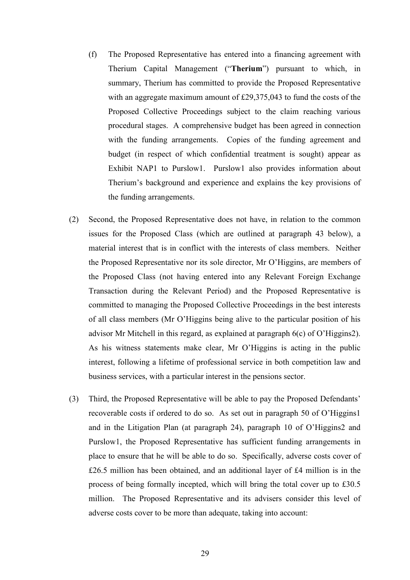- (f) The Proposed Representative has entered into a financing agreement with Therium Capital Management ("**Therium**") pursuant to which, in summary, Therium has committed to provide the Proposed Representative with an aggregate maximum amount of £29,375,043 to fund the costs of the Proposed Collective Proceedings subject to the claim reaching various procedural stages. A comprehensive budget has been agreed in connection with the funding arrangements. Copies of the funding agreement and budget (in respect of which confidential treatment is sought) appear as Exhibit NAP1 to Purslow1. Purslow1 also provides information about Therium's background and experience and explains the key provisions of the funding arrangements.
- (2) Second, the Proposed Representative does not have, in relation to the common issues for the Proposed Class (which are outlined at paragraph 43 below), a material interest that is in conflict with the interests of class members. Neither the Proposed Representative nor its sole director, Mr O'Higgins, are members of the Proposed Class (not having entered into any Relevant Foreign Exchange Transaction during the Relevant Period) and the Proposed Representative is committed to managing the Proposed Collective Proceedings in the best interests of all class members (Mr O'Higgins being alive to the particular position of his advisor Mr Mitchell in this regard, as explained at paragraph 6(c) of O'Higgins2). As his witness statements make clear, Mr O'Higgins is acting in the public interest, following a lifetime of professional service in both competition law and business services, with a particular interest in the pensions sector.
- (3) Third, the Proposed Representative will be able to pay the Proposed Defendants' recoverable costs if ordered to do so. As set out in paragraph 50 of O'Higgins1 and in the Litigation Plan (at paragraph 24), paragraph 10 of O'Higgins2 and Purslow1, the Proposed Representative has sufficient funding arrangements in place to ensure that he will be able to do so. Specifically, adverse costs cover of £26.5 million has been obtained, and an additional layer of £4 million is in the process of being formally incepted, which will bring the total cover up to £30.5 million. The Proposed Representative and its advisers consider this level of adverse costs cover to be more than adequate, taking into account: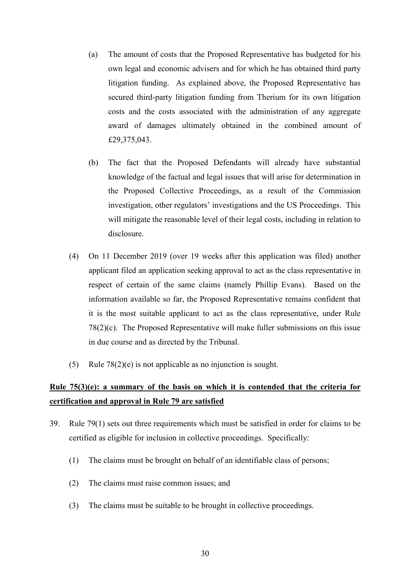- (a) The amount of costs that the Proposed Representative has budgeted for his own legal and economic advisers and for which he has obtained third party litigation funding. As explained above, the Proposed Representative has secured third-party litigation funding from Therium for its own litigation costs and the costs associated with the administration of any aggregate award of damages ultimately obtained in the combined amount of £29,375,043.
- (b) The fact that the Proposed Defendants will already have substantial knowledge of the factual and legal issues that will arise for determination in the Proposed Collective Proceedings, as a result of the Commission investigation, other regulators' investigations and the US Proceedings. This will mitigate the reasonable level of their legal costs, including in relation to disclosure.
- (4) On 11 December 2019 (over 19 weeks after this application was filed) another applicant filed an application seeking approval to act as the class representative in respect of certain of the same claims (namely Phillip Evans). Based on the information available so far, the Proposed Representative remains confident that it is the most suitable applicant to act as the class representative, under Rule 78(2)(c). The Proposed Representative will make fuller submissions on this issue in due course and as directed by the Tribunal.
- (5) Rule 78(2)(e) is not applicable as no injunction is sought.

## **Rule 75(3)(e): a summary of the basis on which it is contended that the criteria for certification and approval in Rule 79 are satisfied**

- 39. Rule 79(1) sets out three requirements which must be satisfied in order for claims to be certified as eligible for inclusion in collective proceedings. Specifically:
	- (1) The claims must be brought on behalf of an identifiable class of persons;
	- (2) The claims must raise common issues; and
	- (3) The claims must be suitable to be brought in collective proceedings.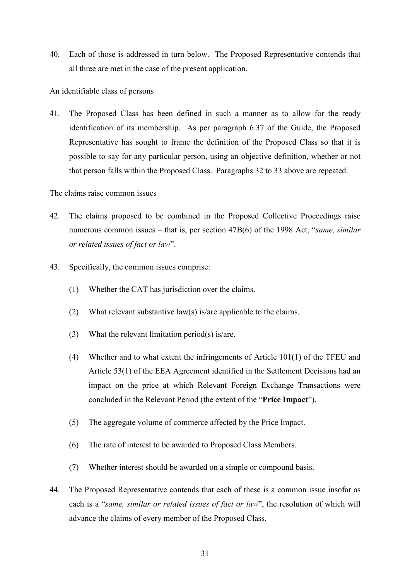40. Each of those is addressed in turn below. The Proposed Representative contends that all three are met in the case of the present application.

#### An identifiable class of persons

41. The Proposed Class has been defined in such a manner as to allow for the ready identification of its membership. As per paragraph 6.37 of the Guide, the Proposed Representative has sought to frame the definition of the Proposed Class so that it is possible to say for any particular person, using an objective definition, whether or not that person falls within the Proposed Class. Paragraphs 32 to 33 above are repeated.

#### The claims raise common issues

- 42. The claims proposed to be combined in the Proposed Collective Proceedings raise numerous common issues – that is, per section 47B(6) of the 1998 Act, "*same, similar or related issues of fact or law*".
- 43. Specifically, the common issues comprise:
	- (1) Whether the CAT has jurisdiction over the claims.
	- (2) What relevant substantive law(s) is/are applicable to the claims.
	- (3) What the relevant limitation period(s) is/are.
	- (4) Whether and to what extent the infringements of Article 101(1) of the TFEU and Article 53(1) of the EEA Agreement identified in the Settlement Decisions had an impact on the price at which Relevant Foreign Exchange Transactions were concluded in the Relevant Period (the extent of the "**Price Impact**").
	- (5) The aggregate volume of commerce affected by the Price Impact.
	- (6) The rate of interest to be awarded to Proposed Class Members.
	- (7) Whether interest should be awarded on a simple or compound basis.
- 44. The Proposed Representative contends that each of these is a common issue insofar as each is a "*same, similar or related issues of fact or law*", the resolution of which will advance the claims of every member of the Proposed Class.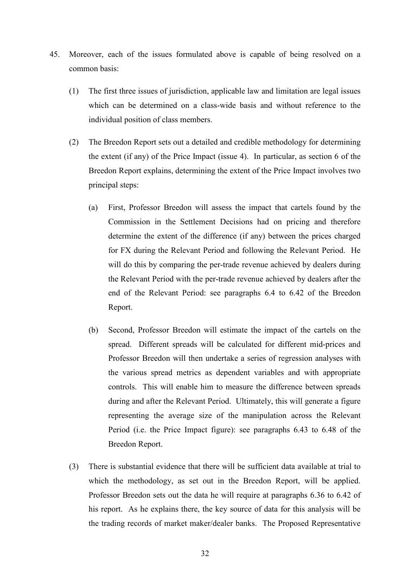- 45. Moreover, each of the issues formulated above is capable of being resolved on a common basis:
	- (1) The first three issues of jurisdiction, applicable law and limitation are legal issues which can be determined on a class-wide basis and without reference to the individual position of class members.
	- (2) The Breedon Report sets out a detailed and credible methodology for determining the extent (if any) of the Price Impact (issue 4). In particular, as section 6 of the Breedon Report explains, determining the extent of the Price Impact involves two principal steps:
		- (a) First, Professor Breedon will assess the impact that cartels found by the Commission in the Settlement Decisions had on pricing and therefore determine the extent of the difference (if any) between the prices charged for FX during the Relevant Period and following the Relevant Period. He will do this by comparing the per-trade revenue achieved by dealers during the Relevant Period with the per-trade revenue achieved by dealers after the end of the Relevant Period: see paragraphs 6.4 to 6.42 of the Breedon Report.
		- (b) Second, Professor Breedon will estimate the impact of the cartels on the spread. Different spreads will be calculated for different mid-prices and Professor Breedon will then undertake a series of regression analyses with the various spread metrics as dependent variables and with appropriate controls. This will enable him to measure the difference between spreads during and after the Relevant Period. Ultimately, this will generate a figure representing the average size of the manipulation across the Relevant Period (i.e. the Price Impact figure): see paragraphs 6.43 to 6.48 of the Breedon Report.
	- (3) There is substantial evidence that there will be sufficient data available at trial to which the methodology, as set out in the Breedon Report, will be applied. Professor Breedon sets out the data he will require at paragraphs 6.36 to 6.42 of his report. As he explains there, the key source of data for this analysis will be the trading records of market maker/dealer banks. The Proposed Representative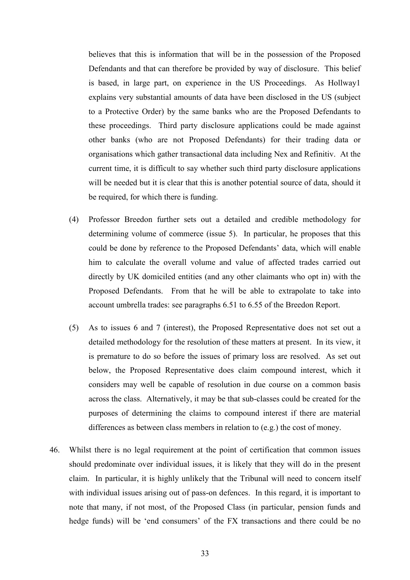believes that this is information that will be in the possession of the Proposed Defendants and that can therefore be provided by way of disclosure. This belief is based, in large part, on experience in the US Proceedings. As Hollway1 explains very substantial amounts of data have been disclosed in the US (subject to a Protective Order) by the same banks who are the Proposed Defendants to these proceedings. Third party disclosure applications could be made against other banks (who are not Proposed Defendants) for their trading data or organisations which gather transactional data including Nex and Refinitiv. At the current time, it is difficult to say whether such third party disclosure applications will be needed but it is clear that this is another potential source of data, should it be required, for which there is funding.

- (4) Professor Breedon further sets out a detailed and credible methodology for determining volume of commerce (issue 5). In particular, he proposes that this could be done by reference to the Proposed Defendants' data, which will enable him to calculate the overall volume and value of affected trades carried out directly by UK domiciled entities (and any other claimants who opt in) with the Proposed Defendants. From that he will be able to extrapolate to take into account umbrella trades: see paragraphs 6.51 to 6.55 of the Breedon Report.
- (5) As to issues 6 and 7 (interest), the Proposed Representative does not set out a detailed methodology for the resolution of these matters at present. In its view, it is premature to do so before the issues of primary loss are resolved. As set out below, the Proposed Representative does claim compound interest, which it considers may well be capable of resolution in due course on a common basis across the class. Alternatively, it may be that sub-classes could be created for the purposes of determining the claims to compound interest if there are material differences as between class members in relation to (e.g.) the cost of money.
- 46. Whilst there is no legal requirement at the point of certification that common issues should predominate over individual issues, it is likely that they will do in the present claim. In particular, it is highly unlikely that the Tribunal will need to concern itself with individual issues arising out of pass-on defences. In this regard, it is important to note that many, if not most, of the Proposed Class (in particular, pension funds and hedge funds) will be 'end consumers' of the FX transactions and there could be no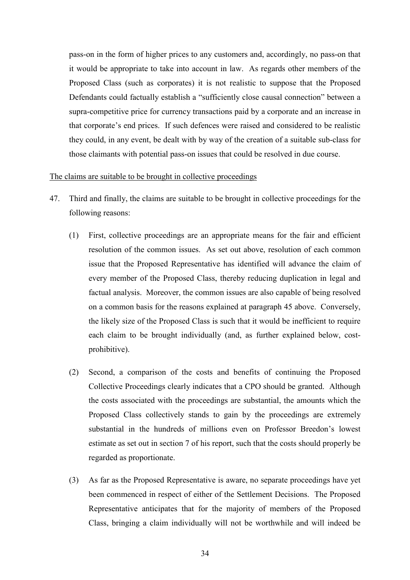pass-on in the form of higher prices to any customers and, accordingly, no pass-on that it would be appropriate to take into account in law. As regards other members of the Proposed Class (such as corporates) it is not realistic to suppose that the Proposed Defendants could factually establish a "sufficiently close causal connection" between a supra-competitive price for currency transactions paid by a corporate and an increase in that corporate's end prices. If such defences were raised and considered to be realistic they could, in any event, be dealt with by way of the creation of a suitable sub-class for those claimants with potential pass-on issues that could be resolved in due course.

#### The claims are suitable to be brought in collective proceedings

- 47. Third and finally, the claims are suitable to be brought in collective proceedings for the following reasons:
	- (1) First, collective proceedings are an appropriate means for the fair and efficient resolution of the common issues. As set out above, resolution of each common issue that the Proposed Representative has identified will advance the claim of every member of the Proposed Class, thereby reducing duplication in legal and factual analysis. Moreover, the common issues are also capable of being resolved on a common basis for the reasons explained at paragraph 45 above. Conversely, the likely size of the Proposed Class is such that it would be inefficient to require each claim to be brought individually (and, as further explained below, costprohibitive).
	- (2) Second, a comparison of the costs and benefits of continuing the Proposed Collective Proceedings clearly indicates that a CPO should be granted. Although the costs associated with the proceedings are substantial, the amounts which the Proposed Class collectively stands to gain by the proceedings are extremely substantial in the hundreds of millions even on Professor Breedon's lowest estimate as set out in section 7 of his report, such that the costs should properly be regarded as proportionate.
	- (3) As far as the Proposed Representative is aware, no separate proceedings have yet been commenced in respect of either of the Settlement Decisions. The Proposed Representative anticipates that for the majority of members of the Proposed Class, bringing a claim individually will not be worthwhile and will indeed be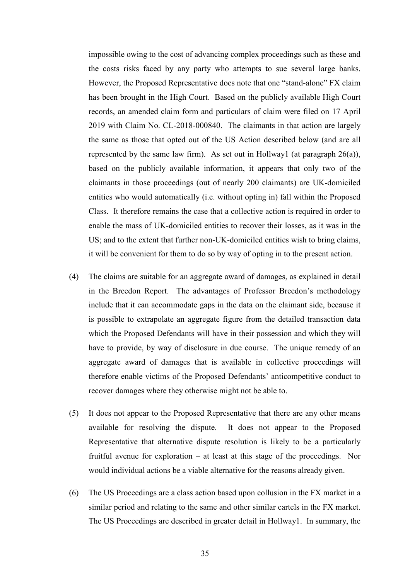impossible owing to the cost of advancing complex proceedings such as these and the costs risks faced by any party who attempts to sue several large banks. However, the Proposed Representative does note that one "stand-alone" FX claim has been brought in the High Court. Based on the publicly available High Court records, an amended claim form and particulars of claim were filed on 17 April 2019 with Claim No. CL-2018-000840. The claimants in that action are largely the same as those that opted out of the US Action described below (and are all represented by the same law firm). As set out in Hollway1 (at paragraph  $26(a)$ ), based on the publicly available information, it appears that only two of the claimants in those proceedings (out of nearly 200 claimants) are UK-domiciled entities who would automatically (i.e. without opting in) fall within the Proposed Class. It therefore remains the case that a collective action is required in order to enable the mass of UK-domiciled entities to recover their losses, as it was in the US; and to the extent that further non-UK-domiciled entities wish to bring claims, it will be convenient for them to do so by way of opting in to the present action.

- (4) The claims are suitable for an aggregate award of damages, as explained in detail in the Breedon Report. The advantages of Professor Breedon's methodology include that it can accommodate gaps in the data on the claimant side, because it is possible to extrapolate an aggregate figure from the detailed transaction data which the Proposed Defendants will have in their possession and which they will have to provide, by way of disclosure in due course. The unique remedy of an aggregate award of damages that is available in collective proceedings will therefore enable victims of the Proposed Defendants' anticompetitive conduct to recover damages where they otherwise might not be able to.
- (5) It does not appear to the Proposed Representative that there are any other means available for resolving the dispute. It does not appear to the Proposed Representative that alternative dispute resolution is likely to be a particularly fruitful avenue for exploration – at least at this stage of the proceedings. Nor would individual actions be a viable alternative for the reasons already given.
- (6) The US Proceedings are a class action based upon collusion in the FX market in a similar period and relating to the same and other similar cartels in the FX market. The US Proceedings are described in greater detail in Hollway1. In summary, the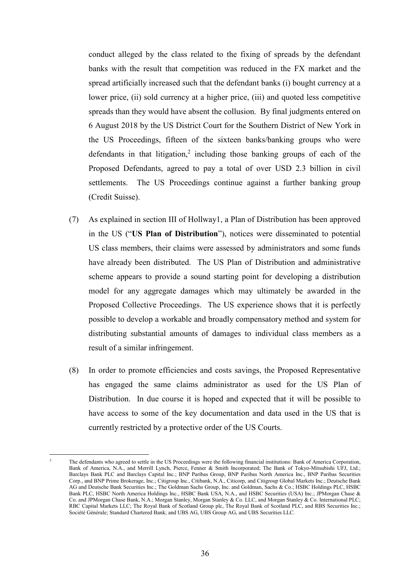conduct alleged by the class related to the fixing of spreads by the defendant banks with the result that competition was reduced in the FX market and the spread artificially increased such that the defendant banks (i) bought currency at a lower price, (ii) sold currency at a higher price, (iii) and quoted less competitive spreads than they would have absent the collusion. By final judgments entered on 6 August 2018 by the US District Court for the Southern District of New York in the US Proceedings, fifteen of the sixteen banks/banking groups who were defendants in that litigation,<sup>2</sup> including those banking groups of each of the Proposed Defendants, agreed to pay a total of over USD 2.3 billion in civil settlements. The US Proceedings continue against a further banking group (Credit Suisse).

- (7) As explained in section III of Hollway1, a Plan of Distribution has been approved in the US ("**US Plan of Distribution**"), notices were disseminated to potential US class members, their claims were assessed by administrators and some funds have already been distributed. The US Plan of Distribution and administrative scheme appears to provide a sound starting point for developing a distribution model for any aggregate damages which may ultimately be awarded in the Proposed Collective Proceedings. The US experience shows that it is perfectly possible to develop a workable and broadly compensatory method and system for distributing substantial amounts of damages to individual class members as a result of a similar infringement.
- (8) In order to promote efficiencies and costs savings, the Proposed Representative has engaged the same claims administrator as used for the US Plan of Distribution. In due course it is hoped and expected that it will be possible to have access to some of the key documentation and data used in the US that is currently restricted by a protective order of the US Courts.

 $\overline{a}$ 2 The defendants who agreed to settle in the US Proceedings were the following financial institutions: Bank of America Corporation, Bank of America, N.A., and Merrill Lynch, Pierce, Fenner & Smith Incorporated; The Bank of Tokyo-Mitsubishi UFJ, Ltd.; Barclays Bank PLC and Barclays Capital Inc.; BNP Paribas Group, BNP Paribas North America Inc., BNP Paribas Securities Corp., and BNP Prime Brokerage, Inc.; Citigroup Inc., Citibank, N.A., Citicorp, and Citigroup Global Markets Inc.; Deutsche Bank AG and Deutsche Bank Securities Inc.; The Goldman Sachs Group, Inc. and Goldman, Sachs & Co.; HSBC Holdings PLC, HSBC Bank PLC, HSBC North America Holdings Inc., HSBC Bank USA, N.A., and HSBC Securities (USA) Inc.; JPMorgan Chase & Co. and JPMorgan Chase Bank, N.A.; Morgan Stanley, Morgan Stanley & Co. LLC, and Morgan Stanley & Co. International PLC; RBC Capital Markets LLC; The Royal Bank of Scotland Group plc, The Royal Bank of Scotland PLC, and RBS Securities Inc.; Société Générale; Standard Chartered Bank; and UBS AG, UBS Group AG, and UBS Securities LLC.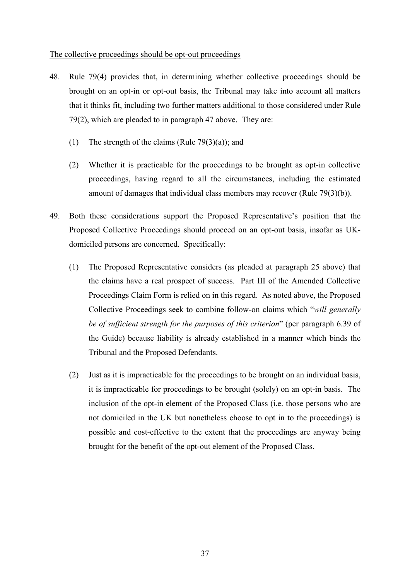#### The collective proceedings should be opt-out proceedings

- 48. Rule 79(4) provides that, in determining whether collective proceedings should be brought on an opt-in or opt-out basis, the Tribunal may take into account all matters that it thinks fit, including two further matters additional to those considered under Rule 79(2), which are pleaded to in paragraph 47 above. They are:
	- (1) The strength of the claims (Rule 79(3)(a)); and
	- (2) Whether it is practicable for the proceedings to be brought as opt-in collective proceedings, having regard to all the circumstances, including the estimated amount of damages that individual class members may recover (Rule 79(3)(b)).
- 49. Both these considerations support the Proposed Representative's position that the Proposed Collective Proceedings should proceed on an opt-out basis, insofar as UKdomiciled persons are concerned. Specifically:
	- (1) The Proposed Representative considers (as pleaded at paragraph 25 above) that the claims have a real prospect of success. Part III of the Amended Collective Proceedings Claim Form is relied on in this regard. As noted above, the Proposed Collective Proceedings seek to combine follow-on claims which "*will generally be of sufficient strength for the purposes of this criterion*" (per paragraph 6.39 of the Guide) because liability is already established in a manner which binds the Tribunal and the Proposed Defendants.
	- (2) Just as it is impracticable for the proceedings to be brought on an individual basis, it is impracticable for proceedings to be brought (solely) on an opt-in basis. The inclusion of the opt-in element of the Proposed Class (i.e. those persons who are not domiciled in the UK but nonetheless choose to opt in to the proceedings) is possible and cost-effective to the extent that the proceedings are anyway being brought for the benefit of the opt-out element of the Proposed Class.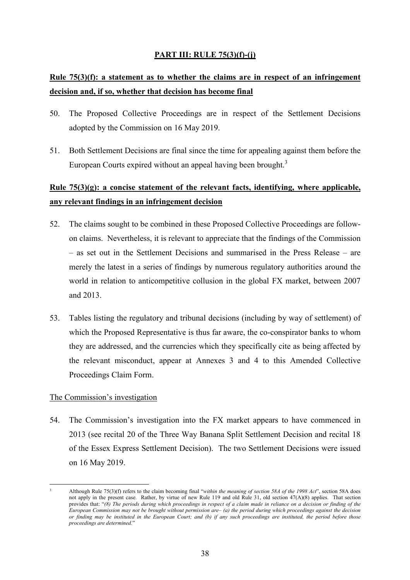## **PART III: RULE 75(3)(f)-(j)**

# **Rule 75(3)(f): a statement as to whether the claims are in respect of an infringement decision and, if so, whether that decision has become final**

- 50. The Proposed Collective Proceedings are in respect of the Settlement Decisions adopted by the Commission on 16 May 2019.
- 51. Both Settlement Decisions are final since the time for appealing against them before the European Courts expired without an appeal having been brought.<sup>3</sup>

# **Rule 75(3)(g): a concise statement of the relevant facts, identifying, where applicable, any relevant findings in an infringement decision**

- 52. The claims sought to be combined in these Proposed Collective Proceedings are followon claims. Nevertheless, it is relevant to appreciate that the findings of the Commission – as set out in the Settlement Decisions and summarised in the Press Release – are merely the latest in a series of findings by numerous regulatory authorities around the world in relation to anticompetitive collusion in the global FX market, between 2007 and 2013.
- 53. Tables listing the regulatory and tribunal decisions (including by way of settlement) of which the Proposed Representative is thus far aware, the co-conspirator banks to whom they are addressed, and the currencies which they specifically cite as being affected by the relevant misconduct, appear at Annexes 3 and 4 to this Amended Collective Proceedings Claim Form.

## The Commission's investigation

54. The Commission's investigation into the FX market appears to have commenced in 2013 (see recital 20 of the Three Way Banana Split Settlement Decision and recital 18 of the Essex Express Settlement Decision). The two Settlement Decisions were issued on 16 May 2019.

 $\overline{a}$ 

<sup>3</sup>

Although Rule 75(3)(f) refers to the claim becoming final "*within the meaning of section 58A of the 1998 Act*", section 58A does not apply in the present case. Rather, by virtue of new Rule 119 and old Rule 31, old section 47(A)(8) applies. That section provides that: "*(8) The periods during which proceedings in respect of a claim made in reliance on a decision or finding of the European Commission may not be brought without permission are– (a) the period during which proceedings against the decision or finding may be instituted in the European Court; and (b) if any such proceedings are instituted, the period before those proceedings are determined.*"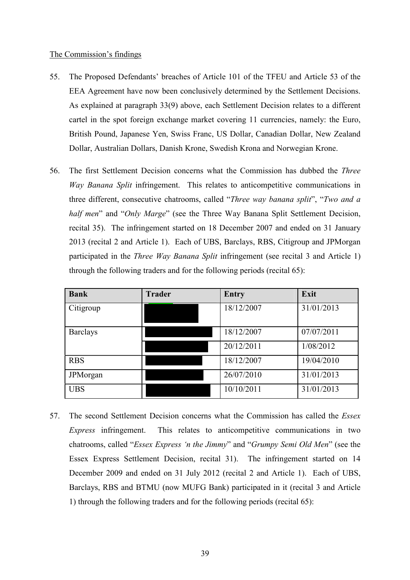#### The Commission's findings

- 55. The Proposed Defendants' breaches of Article 101 of the TFEU and Article 53 of the EEA Agreement have now been conclusively determined by the Settlement Decisions. As explained at paragraph 33(9) above, each Settlement Decision relates to a different cartel in the spot foreign exchange market covering 11 currencies, namely: the Euro, British Pound, Japanese Yen, Swiss Franc, US Dollar, Canadian Dollar, New Zealand Dollar, Australian Dollars, Danish Krone, Swedish Krona and Norwegian Krone.
- 56. The first Settlement Decision concerns what the Commission has dubbed the *Three Way Banana Split* infringement. This relates to anticompetitive communications in three different, consecutive chatrooms, called "*Three way banana split*", "*Two and a half men*" and "*Only Marge*" (see the Three Way Banana Split Settlement Decision, recital 35). The infringement started on 18 December 2007 and ended on 31 January 2013 (recital 2 and Article 1). Each of UBS, Barclays, RBS, Citigroup and JPMorgan participated in the *Three Way Banana Split* infringement (see recital 3 and Article 1) through the following traders and for the following periods (recital 65):

| <b>Bank</b>     | <b>Trader</b> | Entry      | Exit       |
|-----------------|---------------|------------|------------|
| Citigroup       |               | 18/12/2007 | 31/01/2013 |
| <b>Barclays</b> |               | 18/12/2007 | 07/07/2011 |
|                 |               | 20/12/2011 | 1/08/2012  |
| <b>RBS</b>      |               | 18/12/2007 | 19/04/2010 |
| JPMorgan        |               | 26/07/2010 | 31/01/2013 |
| <b>UBS</b>      |               | 10/10/2011 | 31/01/2013 |

57. The second Settlement Decision concerns what the Commission has called the *Essex Express* infringement. This relates to anticompetitive communications in two chatrooms, called "*Essex Express 'n the Jimmy*" and "*Grumpy Semi Old Men*" (see the Essex Express Settlement Decision, recital 31). The infringement started on 14 December 2009 and ended on 31 July 2012 (recital 2 and Article 1). Each of UBS, Barclays, RBS and BTMU (now MUFG Bank) participated in it (recital 3 and Article 1) through the following traders and for the following periods (recital 65):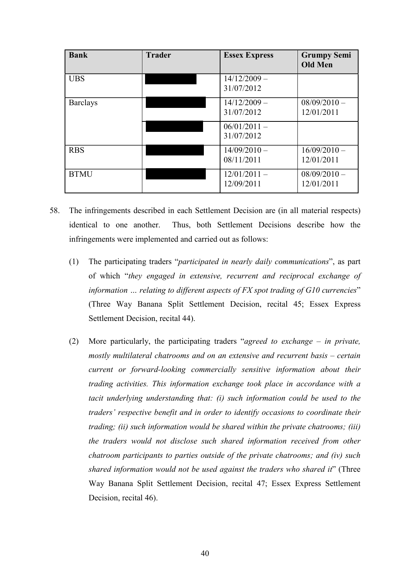| <b>Bank</b>     | <b>Trader</b> | <b>Essex Express</b>         | <b>Grumpy Semi</b><br><b>Old Men</b> |
|-----------------|---------------|------------------------------|--------------------------------------|
| <b>UBS</b>      |               | $14/12/2009 -$<br>31/07/2012 |                                      |
| <b>Barclays</b> |               | $14/12/2009 -$<br>31/07/2012 | $08/09/2010 -$<br>12/01/2011         |
|                 |               | $06/01/2011 -$<br>31/07/2012 |                                      |
| <b>RBS</b>      |               | $14/09/2010 -$<br>08/11/2011 | $16/09/2010 -$<br>12/01/2011         |
| <b>BTMU</b>     |               | $12/01/2011 -$<br>12/09/2011 | $08/09/2010 -$<br>12/01/2011         |

- 58. The infringements described in each Settlement Decision are (in all material respects) identical to one another. Thus, both Settlement Decisions describe how the infringements were implemented and carried out as follows:
	- (1) The participating traders "*participated in nearly daily communications*", as part of which "*they engaged in extensive, recurrent and reciprocal exchange of information … relating to different aspects of FX spot trading of G10 currencies*" (Three Way Banana Split Settlement Decision, recital 45; Essex Express Settlement Decision, recital 44).
	- (2) More particularly, the participating traders "*agreed to exchange in private, mostly multilateral chatrooms and on an extensive and recurrent basis – certain current or forward-looking commercially sensitive information about their trading activities. This information exchange took place in accordance with a tacit underlying understanding that: (i) such information could be used to the traders' respective benefit and in order to identify occasions to coordinate their trading; (ii) such information would be shared within the private chatrooms; (iii) the traders would not disclose such shared information received from other chatroom participants to parties outside of the private chatrooms; and (iv) such shared information would not be used against the traders who shared it*" (Three Way Banana Split Settlement Decision, recital 47; Essex Express Settlement Decision, recital 46).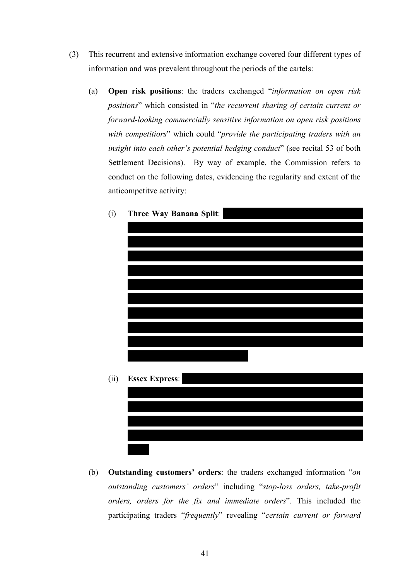- (3) This recurrent and extensive information exchange covered four different types of information and was prevalent throughout the periods of the cartels:
	- (a) **Open risk positions**: the traders exchanged "*information on open risk positions*" which consisted in "*the recurrent sharing of certain current or forward-looking commercially sensitive information on open risk positions with competitiors*" which could "*provide the participating traders with an insight into each other's potential hedging conduct*" (see recital 53 of both Settlement Decisions). By way of example, the Commission refers to conduct on the following dates, evidencing the regularity and extent of the anticompetitve activity:



(i) **Three Way Banana Split**:

(b) **Outstanding customers' orders**: the traders exchanged information "*on outstanding customers' orders*" including "*stop-loss orders, take-profit orders, orders for the fix and immediate orders*". This included the participating traders "*frequently*" revealing "*certain current or forward*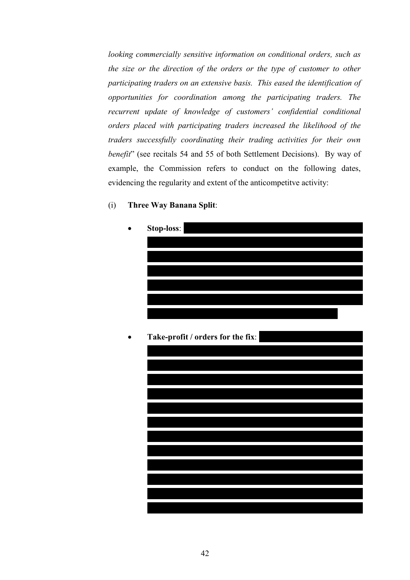*looking commercially sensitive information on conditional orders, such as the size or the direction of the orders or the type of customer to other participating traders on an extensive basis. This eased the identification of opportunities for coordination among the participating traders. The recurrent update of knowledge of customers' confidential conditional orders placed with participating traders increased the likelihood of the traders successfully coordinating their trading activities for their own benefit*" (see recitals 54 and 55 of both Settlement Decisions). By way of example, the Commission refers to conduct on the following dates, evidencing the regularity and extent of the anticompetitve activity:

(i) **Three Way Banana Split**:

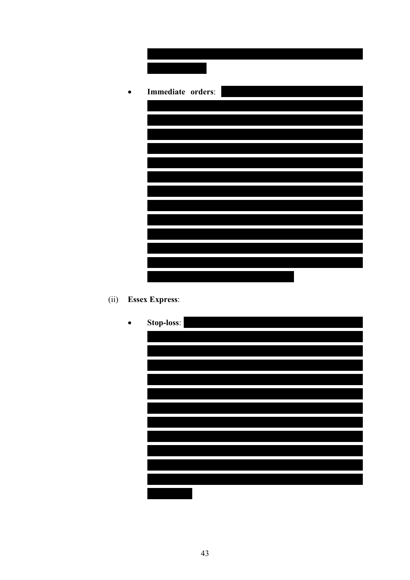| Immediate orders: |
|-------------------|
|                   |
|                   |
|                   |
|                   |
|                   |
|                   |
|                   |
|                   |
|                   |
|                   |
|                   |
|                   |
|                   |
|                   |

(ii) **Essex Express**:

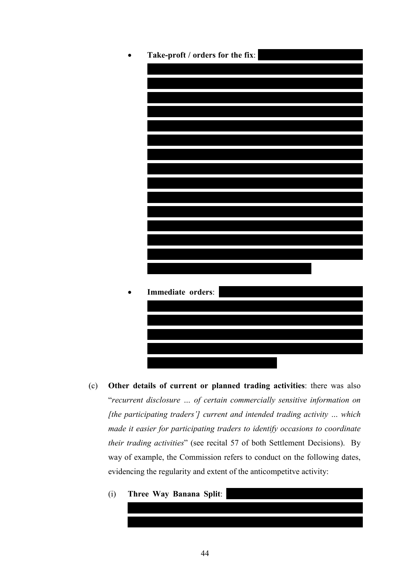

- (c) **Other details of current or planned trading activities**: there was also "*recurrent disclosure … of certain commercially sensitive information on [the participating traders'] current and intended trading activity … which made it easier for participating traders to identify occasions to coordinate their trading activities*" (see recital 57 of both Settlement Decisions). By way of example, the Commission refers to conduct on the following dates, evidencing the regularity and extent of the anticompetitve activity:
	- (i) **Three Way Banana Split**: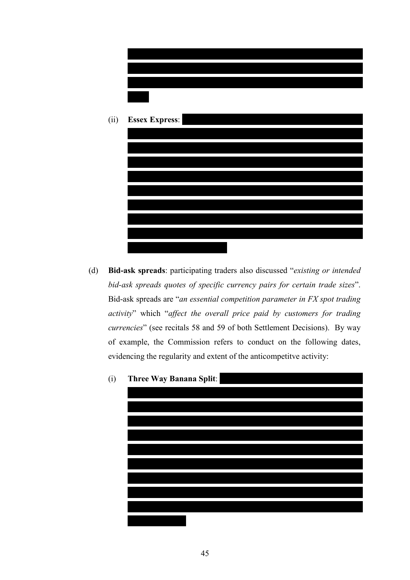



(d) **Bid-ask spreads**: participating traders also discussed "*existing or intended bid-ask spreads quotes of specific currency pairs for certain trade sizes*". Bid-ask spreads are "*an essential competition parameter in FX spot trading activity*" which "*affect the overall price paid by customers for trading currencies*" (see recitals 58 and 59 of both Settlement Decisions). By way of example, the Commission refers to conduct on the following dates, evidencing the regularity and extent of the anticompetitve activity:

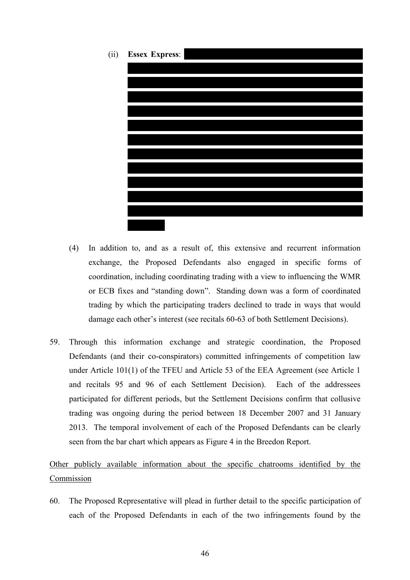

- (4) In addition to, and as a result of, this extensive and recurrent information exchange, the Proposed Defendants also engaged in specific forms of coordination, including coordinating trading with a view to influencing the WMR or ECB fixes and "standing down". Standing down was a form of coordinated trading by which the participating traders declined to trade in ways that would damage each other's interest (see recitals 60-63 of both Settlement Decisions).
- 59. Through this information exchange and strategic coordination, the Proposed Defendants (and their co-conspirators) committed infringements of competition law under Article 101(1) of the TFEU and Article 53 of the EEA Agreement (see Article 1 and recitals 95 and 96 of each Settlement Decision). Each of the addressees participated for different periods, but the Settlement Decisions confirm that collusive trading was ongoing during the period between 18 December 2007 and 31 January 2013. The temporal involvement of each of the Proposed Defendants can be clearly seen from the bar chart which appears as Figure 4 in the Breedon Report.

Other publicly available information about the specific chatrooms identified by the Commission

60. The Proposed Representative will plead in further detail to the specific participation of each of the Proposed Defendants in each of the two infringements found by the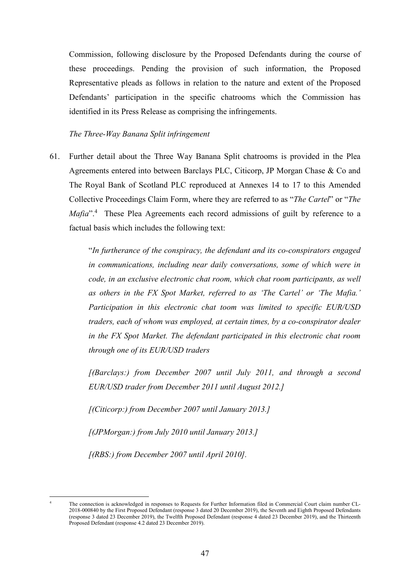Commission, following disclosure by the Proposed Defendants during the course of these proceedings. Pending the provision of such information, the Proposed Representative pleads as follows in relation to the nature and extent of the Proposed Defendants' participation in the specific chatrooms which the Commission has identified in its Press Release as comprising the infringements.

*The Three-Way Banana Split infringement* 

61. Further detail about the Three Way Banana Split chatrooms is provided in the Plea Agreements entered into between Barclays PLC, Citicorp, JP Morgan Chase & Co and The Royal Bank of Scotland PLC reproduced at Annexes 14 to 17 to this Amended Collective Proceedings Claim Form, where they are referred to as "*The Cartel*" or "*The*  Mafia<sup>".4</sup> These Plea Agreements each record admissions of guilt by reference to a factual basis which includes the following text:

> "*In furtherance of the conspiracy, the defendant and its co-conspirators engaged in communications, including near daily conversations, some of which were in code, in an exclusive electronic chat room, which chat room participants, as well as others in the FX Spot Market, referred to as 'The Cartel' or 'The Mafia.' Participation in this electronic chat toom was limited to specific EUR/USD traders, each of whom was employed, at certain times, by a co-conspirator dealer in the FX Spot Market. The defendant participated in this electronic chat room through one of its EUR/USD traders*

> *[(Barclays:) from December 2007 until July 2011, and through a second EUR/USD trader from December 2011 until August 2012.]*

*[(Citicorp:) from December 2007 until January 2013.]* 

*[(JPMorgan:) from July 2010 until January 2013.]* 

*[(RBS:) from December 2007 until April 2010].* 

 $\overline{a}$ 4

The connection is acknowledged in responses to Requests for Further Information filed in Commercial Court claim number CL-2018-000840 by the First Proposed Defendant (response 3 dated 20 December 2019), the Seventh and Eighth Proposed Defendants (response 3 dated 23 December 2019), the Twelfth Proposed Defendant (response 4 dated 23 December 2019), and the Thirteenth Proposed Defendant (response 4.2 dated 23 December 2019).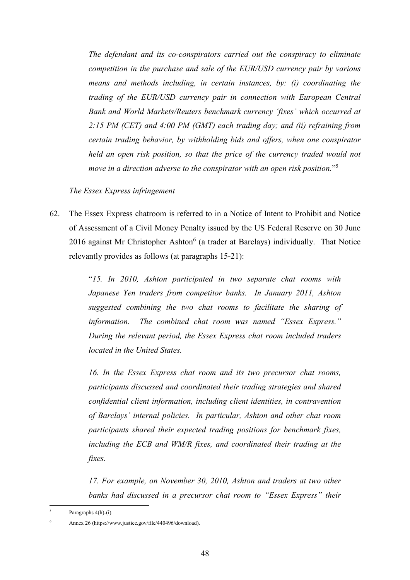*The defendant and its co-conspirators carried out the conspiracy to eliminate competition in the purchase and sale of the EUR/USD currency pair by various means and methods including, in certain instances, by: (i) coordinating the trading of the EUR/USD currency pair in connection with European Central Bank and World Markets/Reuters benchmark currency 'fixes' which occurred at 2:15 PM (CET) and 4:00 PM (GMT) each trading day; and (ii) refraining from certain trading behavior, by withholding bids and offers, when one conspirator held an open risk position, so that the price of the currency traded would not move in a direction adverse to the conspirator with an open risk position.*"5

#### *The Essex Express infringement*

62. The Essex Express chatroom is referred to in a Notice of Intent to Prohibit and Notice of Assessment of a Civil Money Penalty issued by the US Federal Reserve on 30 June 2016 against Mr Christopher Ashton $<sup>6</sup>$  (a trader at Barclays) individually. That Notice</sup> relevantly provides as follows (at paragraphs 15-21):

> "*15. In 2010, Ashton participated in two separate chat rooms with Japanese Yen traders from competitor banks. In January 2011, Ashton suggested combining the two chat rooms to facilitate the sharing of information. The combined chat room was named "Essex Express." During the relevant period, the Essex Express chat room included traders located in the United States.*

> *16. In the Essex Express chat room and its two precursor chat rooms, participants discussed and coordinated their trading strategies and shared confidential client information, including client identities, in contravention of Barclays' internal policies. In particular, Ashton and other chat room participants shared their expected trading positions for benchmark fixes, including the ECB and WM/R fixes, and coordinated their trading at the fixes.*

> *17. For example, on November 30, 2010, Ashton and traders at two other banks had discussed in a precursor chat room to "Essex Express" their*

 $\overline{a}$ 5 Paragraphs 4(h)-(i).

<sup>6</sup> Annex 26 (https://www.justice.gov/file/440496/download).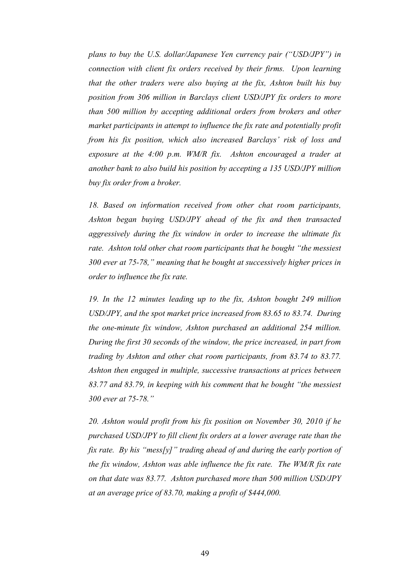*plans to buy the U.S. dollar/Japanese Yen currency pair ("USD/JPY") in connection with client fix orders received by their firms. Upon learning that the other traders were also buying at the fix, Ashton built his buy position from 306 million in Barclays client USD/JPY fix orders to more than 500 million by accepting additional orders from brokers and other market participants in attempt to influence the fix rate and potentially profit from his fix position, which also increased Barclays' risk of loss and*  exposure at the 4:00 p.m. WM/R fix. Ashton encouraged a trader at *another bank to also build his position by accepting a 135 USD/JPY million buy fix order from a broker.* 

*18. Based on information received from other chat room participants, Ashton began buying USD/JPY ahead of the fix and then transacted aggressively during the fix window in order to increase the ultimate fix rate. Ashton told other chat room participants that he bought "the messiest 300 ever at 75-78," meaning that he bought at successively higher prices in order to influence the fix rate.* 

*19. In the 12 minutes leading up to the fix, Ashton bought 249 million USD/JPY, and the spot market price increased from 83.65 to 83.74. During the one-minute fix window, Ashton purchased an additional 254 million. During the first 30 seconds of the window, the price increased, in part from trading by Ashton and other chat room participants, from 83.74 to 83.77. Ashton then engaged in multiple, successive transactions at prices between 83.77 and 83.79, in keeping with his comment that he bought "the messiest 300 ever at 75-78."* 

*20. Ashton would profit from his fix position on November 30, 2010 if he purchased USD/JPY to fill client fix orders at a lower average rate than the fix rate. By his "mess[y]" trading ahead of and during the early portion of the fix window, Ashton was able influence the fix rate. The WM/R fix rate on that date was 83.77. Ashton purchased more than 500 million USD/JPY at an average price of 83.70, making a profit of \$444,000.*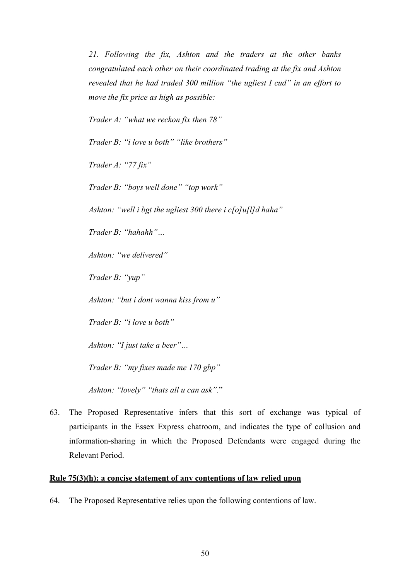*21. Following the fix, Ashton and the traders at the other banks congratulated each other on their coordinated trading at the fix and Ashton revealed that he had traded 300 million "the ugliest I cud" in an effort to move the fix price as high as possible:* 

*Trader A: "what we reckon fix then 78"* 

*Trader B: "i love u both" "like brothers"* 

*Trader A: "77 fix"* 

*Trader B: "boys well done" "top work"* 

*Ashton: "well i bgt the ugliest 300 there i c[o]u[l]d haha"* 

*Trader B: "hahahh"…* 

*Ashton: "we delivered"* 

*Trader B: "yup"* 

*Ashton: "but i dont wanna kiss from u"* 

*Trader B: "i love u both"* 

*Ashton: "I just take a beer"…* 

*Trader B: "my fixes made me 170 gbp"* 

*Ashton: "lovely" "thats all u can ask".*"

63. The Proposed Representative infers that this sort of exchange was typical of participants in the Essex Express chatroom, and indicates the type of collusion and information-sharing in which the Proposed Defendants were engaged during the Relevant Period.

#### **Rule 75(3)(h): a concise statement of any contentions of law relied upon**

64. The Proposed Representative relies upon the following contentions of law.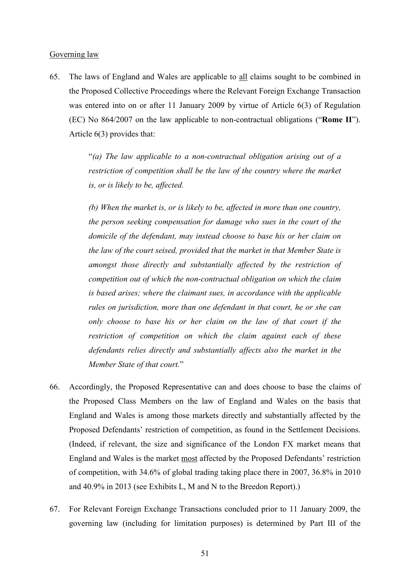#### Governing law

65. The laws of England and Wales are applicable to all claims sought to be combined in the Proposed Collective Proceedings where the Relevant Foreign Exchange Transaction was entered into on or after 11 January 2009 by virtue of Article 6(3) of Regulation (EC) No 864/2007 on the law applicable to non-contractual obligations ("**Rome II**"). Article 6(3) provides that:

> "*(a) The law applicable to a non-contractual obligation arising out of a restriction of competition shall be the law of the country where the market is, or is likely to be, affected.*

> *(b) When the market is, or is likely to be, affected in more than one country, the person seeking compensation for damage who sues in the court of the domicile of the defendant, may instead choose to base his or her claim on the law of the court seised, provided that the market in that Member State is amongst those directly and substantially affected by the restriction of competition out of which the non-contractual obligation on which the claim is based arises; where the claimant sues, in accordance with the applicable rules on jurisdiction, more than one defendant in that court, he or she can only choose to base his or her claim on the law of that court if the restriction of competition on which the claim against each of these defendants relies directly and substantially affects also the market in the Member State of that court.*"

- 66. Accordingly, the Proposed Representative can and does choose to base the claims of the Proposed Class Members on the law of England and Wales on the basis that England and Wales is among those markets directly and substantially affected by the Proposed Defendants' restriction of competition, as found in the Settlement Decisions. (Indeed, if relevant, the size and significance of the London FX market means that England and Wales is the market most affected by the Proposed Defendants' restriction of competition, with 34.6% of global trading taking place there in 2007, 36.8% in 2010 and 40.9% in 2013 (see Exhibits L, M and N to the Breedon Report).)
- 67. For Relevant Foreign Exchange Transactions concluded prior to 11 January 2009, the governing law (including for limitation purposes) is determined by Part III of the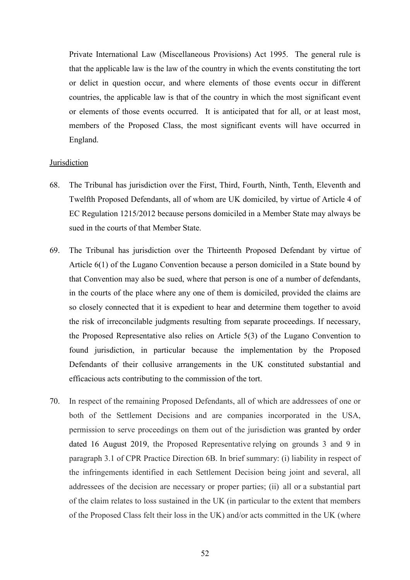Private International Law (Miscellaneous Provisions) Act 1995. The general rule is that the applicable law is the law of the country in which the events constituting the tort or delict in question occur, and where elements of those events occur in different countries, the applicable law is that of the country in which the most significant event or elements of those events occurred. It is anticipated that for all, or at least most, members of the Proposed Class, the most significant events will have occurred in England.

#### **Jurisdiction**

- 68. The Tribunal has jurisdiction over the First, Third, Fourth, Ninth, Tenth, Eleventh and Twelfth Proposed Defendants, all of whom are UK domiciled, by virtue of Article 4 of EC Regulation 1215/2012 because persons domiciled in a Member State may always be sued in the courts of that Member State.
- 69. The Tribunal has jurisdiction over the Thirteenth Proposed Defendant by virtue of Article 6(1) of the Lugano Convention because a person domiciled in a State bound by that Convention may also be sued, where that person is one of a number of defendants, in the courts of the place where any one of them is domiciled, provided the claims are so closely connected that it is expedient to hear and determine them together to avoid the risk of irreconcilable judgments resulting from separate proceedings. If necessary, the Proposed Representative also relies on Article 5(3) of the Lugano Convention to found jurisdiction, in particular because the implementation by the Proposed Defendants of their collusive arrangements in the UK constituted substantial and efficacious acts contributing to the commission of the tort.
- 70. In respect of the remaining Proposed Defendants, all of which are addressees of one or both of the Settlement Decisions and are companies incorporated in the USA, permission to serve proceedings on them out of the jurisdiction was granted by order dated 16 August 2019, the Proposed Representative relying on grounds 3 and 9 in paragraph 3.1 of CPR Practice Direction 6B. In brief summary: (i) liability in respect of the infringements identified in each Settlement Decision being joint and several, all addressees of the decision are necessary or proper parties; (ii) all or a substantial part of the claim relates to loss sustained in the UK (in particular to the extent that members of the Proposed Class felt their loss in the UK) and/or acts committed in the UK (where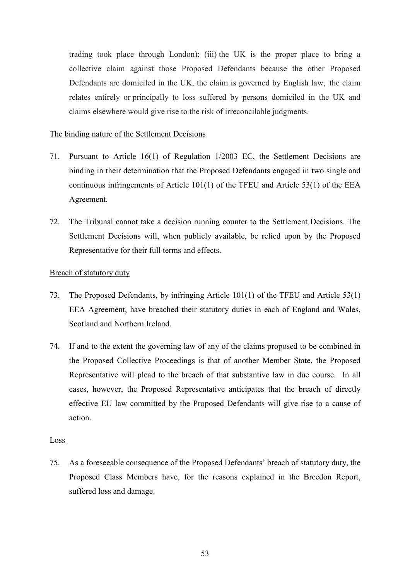trading took place through London); (iii) the UK is the proper place to bring a collective claim against those Proposed Defendants because the other Proposed Defendants are domiciled in the UK, the claim is governed by English law, the claim relates entirely or principally to loss suffered by persons domiciled in the UK and claims elsewhere would give rise to the risk of irreconcilable judgments.

## The binding nature of the Settlement Decisions

- 71. Pursuant to Article 16(1) of Regulation 1/2003 EC, the Settlement Decisions are binding in their determination that the Proposed Defendants engaged in two single and continuous infringements of Article 101(1) of the TFEU and Article 53(1) of the EEA Agreement.
- 72. The Tribunal cannot take a decision running counter to the Settlement Decisions. The Settlement Decisions will, when publicly available, be relied upon by the Proposed Representative for their full terms and effects.

## Breach of statutory duty

- 73. The Proposed Defendants, by infringing Article 101(1) of the TFEU and Article 53(1) EEA Agreement, have breached their statutory duties in each of England and Wales, Scotland and Northern Ireland.
- 74. If and to the extent the governing law of any of the claims proposed to be combined in the Proposed Collective Proceedings is that of another Member State, the Proposed Representative will plead to the breach of that substantive law in due course. In all cases, however, the Proposed Representative anticipates that the breach of directly effective EU law committed by the Proposed Defendants will give rise to a cause of action.

### Loss

75. As a foreseeable consequence of the Proposed Defendants' breach of statutory duty, the Proposed Class Members have, for the reasons explained in the Breedon Report, suffered loss and damage.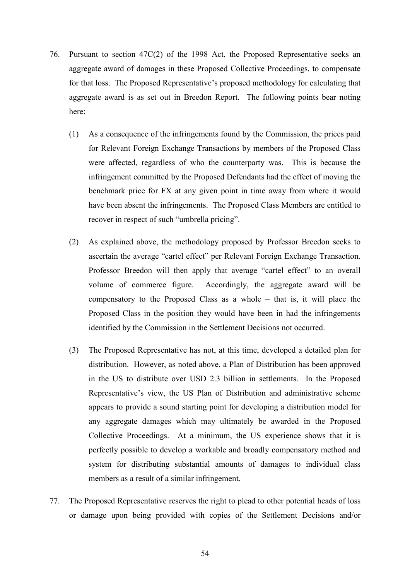- 76. Pursuant to section 47C(2) of the 1998 Act, the Proposed Representative seeks an aggregate award of damages in these Proposed Collective Proceedings, to compensate for that loss. The Proposed Representative's proposed methodology for calculating that aggregate award is as set out in Breedon Report. The following points bear noting here:
	- (1) As a consequence of the infringements found by the Commission, the prices paid for Relevant Foreign Exchange Transactions by members of the Proposed Class were affected, regardless of who the counterparty was. This is because the infringement committed by the Proposed Defendants had the effect of moving the benchmark price for FX at any given point in time away from where it would have been absent the infringements. The Proposed Class Members are entitled to recover in respect of such "umbrella pricing".
	- (2) As explained above, the methodology proposed by Professor Breedon seeks to ascertain the average "cartel effect" per Relevant Foreign Exchange Transaction. Professor Breedon will then apply that average "cartel effect" to an overall volume of commerce figure. Accordingly, the aggregate award will be compensatory to the Proposed Class as a whole – that is, it will place the Proposed Class in the position they would have been in had the infringements identified by the Commission in the Settlement Decisions not occurred.
	- (3) The Proposed Representative has not, at this time, developed a detailed plan for distribution. However, as noted above, a Plan of Distribution has been approved in the US to distribute over USD 2.3 billion in settlements. In the Proposed Representative's view, the US Plan of Distribution and administrative scheme appears to provide a sound starting point for developing a distribution model for any aggregate damages which may ultimately be awarded in the Proposed Collective Proceedings. At a minimum, the US experience shows that it is perfectly possible to develop a workable and broadly compensatory method and system for distributing substantial amounts of damages to individual class members as a result of a similar infringement.
- 77. The Proposed Representative reserves the right to plead to other potential heads of loss or damage upon being provided with copies of the Settlement Decisions and/or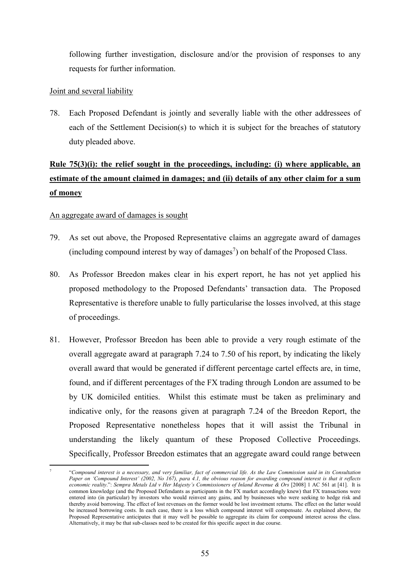following further investigation, disclosure and/or the provision of responses to any requests for further information.

## Joint and several liability

78. Each Proposed Defendant is jointly and severally liable with the other addressees of each of the Settlement Decision(s) to which it is subject for the breaches of statutory duty pleaded above.

# **Rule 75(3)(i): the relief sought in the proceedings, including: (i) where applicable, an estimate of the amount claimed in damages; and (ii) details of any other claim for a sum of money**

## An aggregate award of damages is sought

- 79. As set out above, the Proposed Representative claims an aggregate award of damages (including compound interest by way of damages<sup>7</sup>) on behalf of the Proposed Class.
- 80. As Professor Breedon makes clear in his expert report, he has not yet applied his proposed methodology to the Proposed Defendants' transaction data. The Proposed Representative is therefore unable to fully particularise the losses involved, at this stage of proceedings.
- 81. However, Professor Breedon has been able to provide a very rough estimate of the overall aggregate award at paragraph 7.24 to 7.50 of his report, by indicating the likely overall award that would be generated if different percentage cartel effects are, in time, found, and if different percentages of the FX trading through London are assumed to be by UK domiciled entities. Whilst this estimate must be taken as preliminary and indicative only, for the reasons given at paragraph 7.24 of the Breedon Report, the Proposed Representative nonetheless hopes that it will assist the Tribunal in understanding the likely quantum of these Proposed Collective Proceedings. Specifically, Professor Breedon estimates that an aggregate award could range between

 $\overline{a}$ 7 "*Compound interest is a necessary, and very familiar, fact of commercial life. As the Law Commission said in its Consultation Paper on 'Compound Interest' (2002, No 167), para 4.1, the obvious reason for awarding compound interest is that it reflects economic reality*.": *Sempra Metals Ltd v Her Majesty's Commissioners of Inland Revenue & Ors* [2008] 1 AC 561 at [41]. It is common knowledge (and the Proposed Defendants as participants in the FX market accordingly knew) that FX transactions were entered into (in particular) by investors who would reinvest any gains, and by businesses who were seeking to hedge risk and thereby avoid borrowing. The effect of lost revenues on the former would be lost investment returns. The effect on the latter would be increased borrowing costs. In each case, there is a loss which compound interest will compensate. As explained above, the Proposed Representative anticipates that it may well be possible to aggregate its claim for compound interest across the class. Alternatively, it may be that sub-classes need to be created for this specific aspect in due course.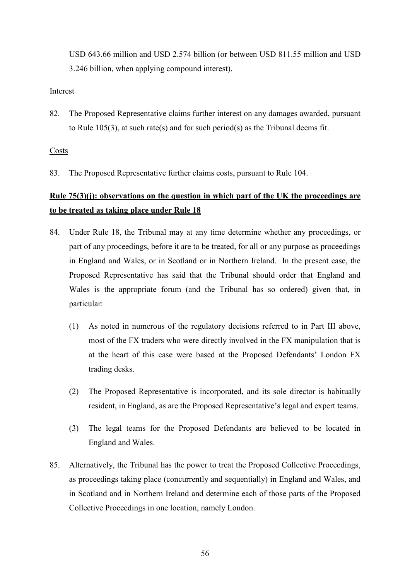USD 643.66 million and USD 2.574 billion (or between USD 811.55 million and USD 3.246 billion, when applying compound interest).

### Interest

82. The Proposed Representative claims further interest on any damages awarded, pursuant to Rule 105(3), at such rate(s) and for such period(s) as the Tribunal deems fit.

## Costs

83. The Proposed Representative further claims costs, pursuant to Rule 104.

# **Rule 75(3)(j): observations on the question in which part of the UK the proceedings are to be treated as taking place under Rule 18**

- 84. Under Rule 18, the Tribunal may at any time determine whether any proceedings, or part of any proceedings, before it are to be treated, for all or any purpose as proceedings in England and Wales, or in Scotland or in Northern Ireland. In the present case, the Proposed Representative has said that the Tribunal should order that England and Wales is the appropriate forum (and the Tribunal has so ordered) given that, in particular:
	- (1) As noted in numerous of the regulatory decisions referred to in Part III above, most of the FX traders who were directly involved in the FX manipulation that is at the heart of this case were based at the Proposed Defendants' London FX trading desks.
	- (2) The Proposed Representative is incorporated, and its sole director is habitually resident, in England, as are the Proposed Representative's legal and expert teams.
	- (3) The legal teams for the Proposed Defendants are believed to be located in England and Wales.
- 85. Alternatively, the Tribunal has the power to treat the Proposed Collective Proceedings, as proceedings taking place (concurrently and sequentially) in England and Wales, and in Scotland and in Northern Ireland and determine each of those parts of the Proposed Collective Proceedings in one location, namely London.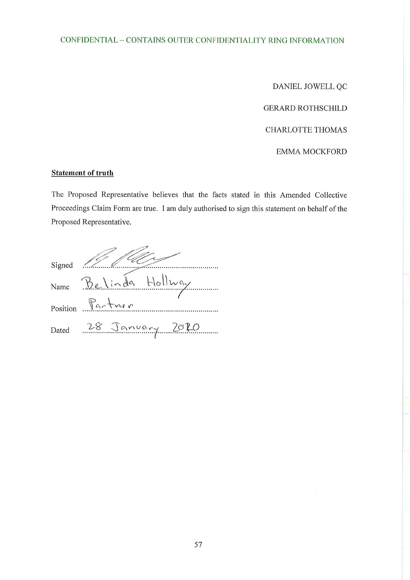## CONFIDENTIAL - CONTAINS OUTER CONFIDENTIALITY RING INFORMATION

DANIEL JOWELL QC

**GERARD ROTHSCHILD** 

**CHARLOTTE THOMAS** 

**EMMA MOCKFORD** 

## **Statement of truth**

The Proposed Representative believes that the facts stated in this Amended Collective Proceedings Claim Form are true. I am duly authorised to sign this statement on behalf of the Proposed Representative.

| Signed |                                              |
|--------|----------------------------------------------|
|        | Name Belinda Hollway                         |
|        | Position $\mathbb{P}_{a}$ + $\mathbb{P}_{a}$ |
| Dated  | 28 January 2020                              |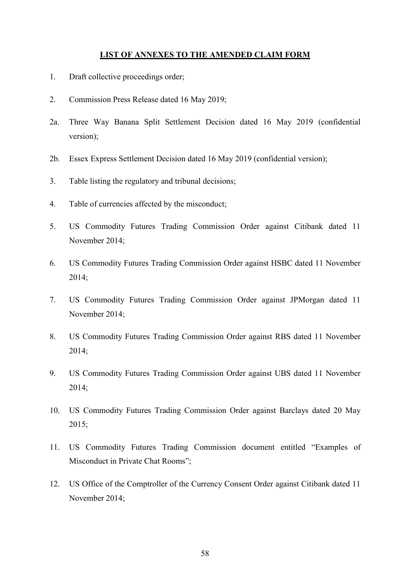#### **LIST OF ANNEXES TO THE AMENDED CLAIM FORM**

- 1. Draft collective proceedings order;
- 2. Commission Press Release dated 16 May 2019;
- 2a. Three Way Banana Split Settlement Decision dated 16 May 2019 (confidential version);
- 2b. Essex Express Settlement Decision dated 16 May 2019 (confidential version);
- 3. Table listing the regulatory and tribunal decisions;
- 4. Table of currencies affected by the misconduct;
- 5. US Commodity Futures Trading Commission Order against Citibank dated 11 November 2014;
- 6. US Commodity Futures Trading Commission Order against HSBC dated 11 November 2014;
- 7. US Commodity Futures Trading Commission Order against JPMorgan dated 11 November 2014;
- 8. US Commodity Futures Trading Commission Order against RBS dated 11 November 2014;
- 9. US Commodity Futures Trading Commission Order against UBS dated 11 November 2014;
- 10. US Commodity Futures Trading Commission Order against Barclays dated 20 May 2015;
- 11. US Commodity Futures Trading Commission document entitled "Examples of Misconduct in Private Chat Rooms";
- 12. US Office of the Comptroller of the Currency Consent Order against Citibank dated 11 November 2014;